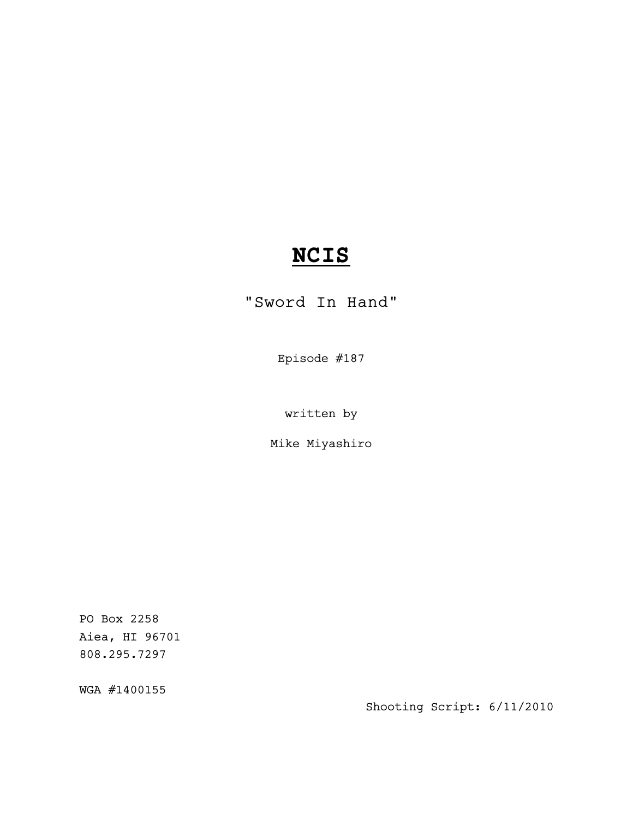# **NCIS**

"Sword In Hand"

Episode #187

written by

Mike Miyashiro

PO Box 2258 Aiea, HI 96701 808.295.7297

WGA #1400155

Shooting Script: 6/11/2010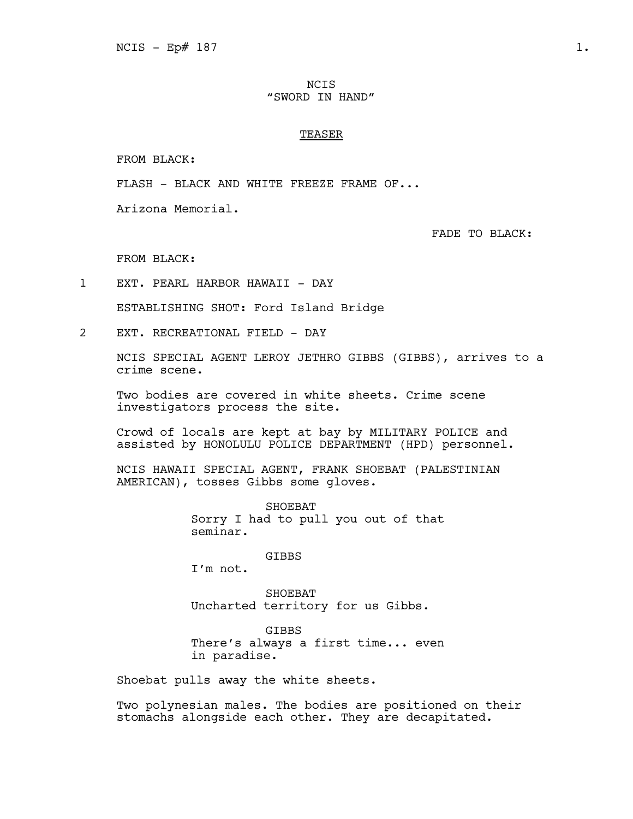# NCIS "SWORD IN HAND"

# **TEASER**

FROM BLACK:

FLASH - BLACK AND WHITE FREEZE FRAME OF...

Arizona Memorial.

FADE TO BLACK:

FROM BLACK:

1 EXT. PEARL HARBOR HAWAII - DAY

ESTABLISHING SHOT: Ford Island Bridge

2 EXT. RECREATIONAL FIELD - DAY

NCIS SPECIAL AGENT LEROY JETHRO GIBBS (GIBBS), arrives to a crime scene.

Two bodies are covered in white sheets. Crime scene investigators process the site.

Crowd of locals are kept at bay by MILITARY POLICE and assisted by HONOLULU POLICE DEPARTMENT (HPD) personnel.

NCIS HAWAII SPECIAL AGENT, FRANK SHOEBAT (PALESTINIAN AMERICAN), tosses Gibbs some gloves.

> SHOEBAT Sorry I had to pull you out of that seminar.

> > GIBBS

I'm not.

SHOEBAT Uncharted territory for us Gibbs.

GIBBS There's always a first time... even in paradise.

Shoebat pulls away the white sheets.

Two polynesian males. The bodies are positioned on their stomachs alongside each other. They are decapitated.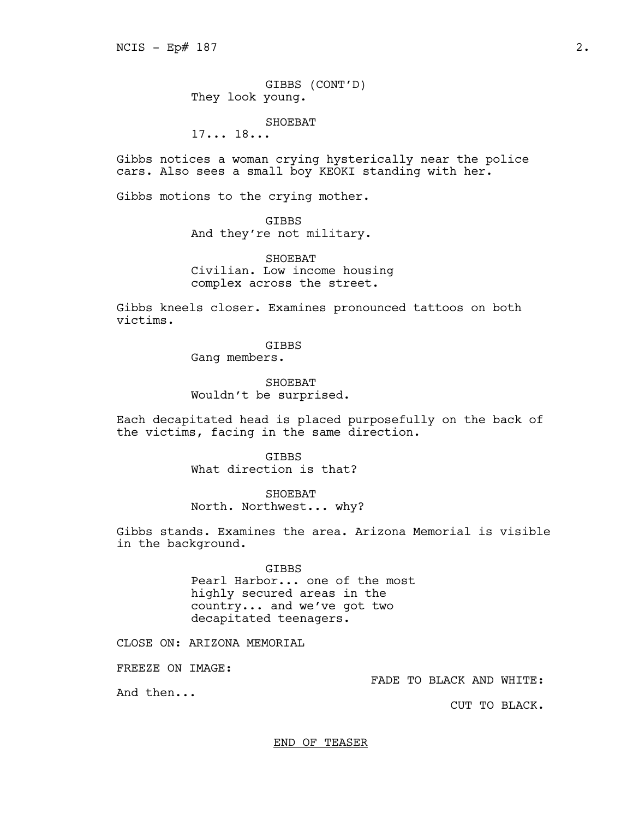GIBBS (CONT'D) They look young.

SHOEBAT

17... 18...

Gibbs notices a woman crying hysterically near the police cars. Also sees a small boy KEOKI standing with her.

Gibbs motions to the crying mother.

# GIBBS

And they're not military.

SHOEBAT Civilian. Low income housing complex across the street.

Gibbs kneels closer. Examines pronounced tattoos on both victims.

> GIBBS Gang members.

SHOEBAT Wouldn't be surprised.

Each decapitated head is placed purposefully on the back of the victims, facing in the same direction.

**GTBBS** 

What direction is that?

SHOEBAT

North. Northwest... why?

Gibbs stands. Examines the area. Arizona Memorial is visible in the background.

> **GTBBS** Pearl Harbor... one of the most highly secured areas in the country... and we've got two decapitated teenagers.

CLOSE ON: ARIZONA MEMORIAL

FREEZE ON IMAGE:

FADE TO BLACK AND WHITE:

And then...

CUT TO BLACK.

END OF TEASER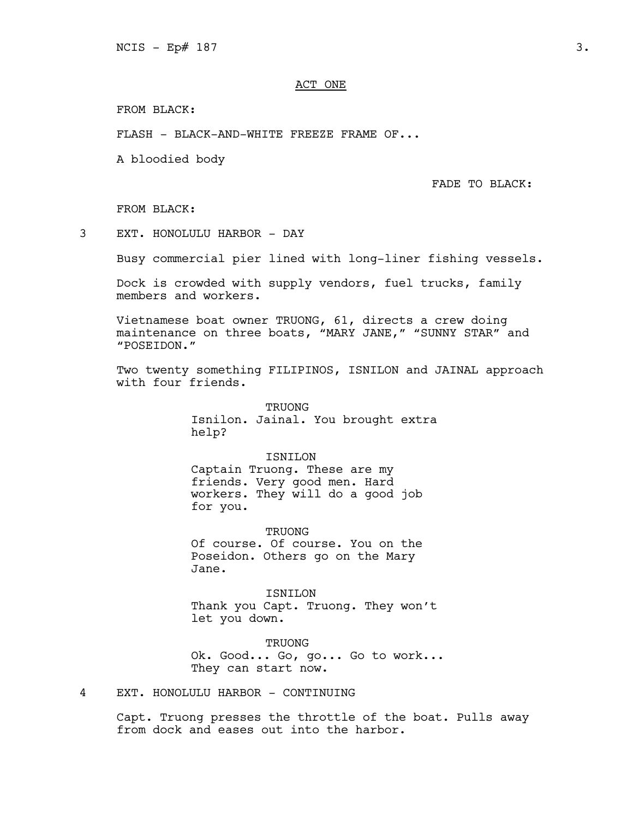# ACT ONE

FROM BLACK:

FLASH - BLACK-AND-WHITE FREEZE FRAME OF...

A bloodied body

FADE TO BLACK:

FROM BLACK:

3 EXT. HONOLULU HARBOR - DAY

Busy commercial pier lined with long-liner fishing vessels.

Dock is crowded with supply vendors, fuel trucks, family members and workers.

Vietnamese boat owner TRUONG, 61, directs a crew doing maintenance on three boats, "MARY JANE," "SUNNY STAR" and "POSEIDON."

Two twenty something FILIPINOS, ISNILON and JAINAL approach with four friends.

> **TRUONG** Isnilon. Jainal. You brought extra help?

ISNILON Captain Truong. These are my friends. Very good men. Hard workers. They will do a good job for you.

TRUONG Of course. Of course. You on the Poseidon. Others go on the Mary Jane.

ISNILON Thank you Capt. Truong. They won't let you down.

TRUONG Ok. Good... Go, go... Go to work... They can start now.

4 EXT. HONOLULU HARBOR - CONTINUING

Capt. Truong presses the throttle of the boat. Pulls away from dock and eases out into the harbor.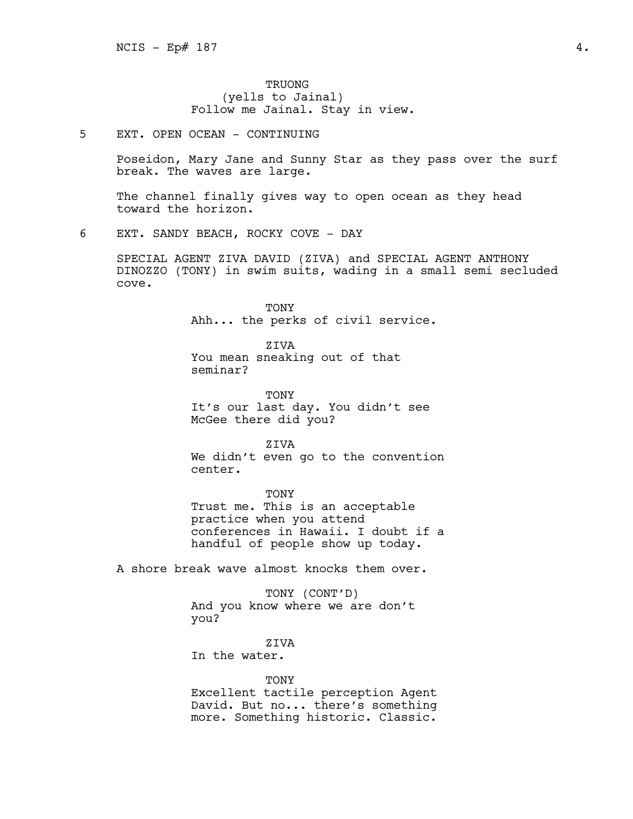# TRUONG (yells to Jainal) Follow me Jainal. Stay in view.

5 EXT. OPEN OCEAN - CONTINUING

Poseidon, Mary Jane and Sunny Star as they pass over the surf break. The waves are large.

The channel finally gives way to open ocean as they head toward the horizon.

6 EXT. SANDY BEACH, ROCKY COVE - DAY

SPECIAL AGENT ZIVA DAVID (ZIVA) and SPECIAL AGENT ANTHONY DINOZZO (TONY) in swim suits, wading in a small semi secluded cove.

> TONY Ahh... the perks of civil service.

ZIVA You mean sneaking out of that seminar?

TONY It's our last day. You didn't see McGee there did you?

ZIVA We didn't even go to the convention center.

TONY Trust me. This is an acceptable practice when you attend conferences in Hawaii. I doubt if a handful of people show up today.

A shore break wave almost knocks them over.

TONY (CONT'D) And you know where we are don't you?

ZIVA

In the water.

**TONY** 

Excellent tactile perception Agent David. But no... there's something more. Something historic. Classic.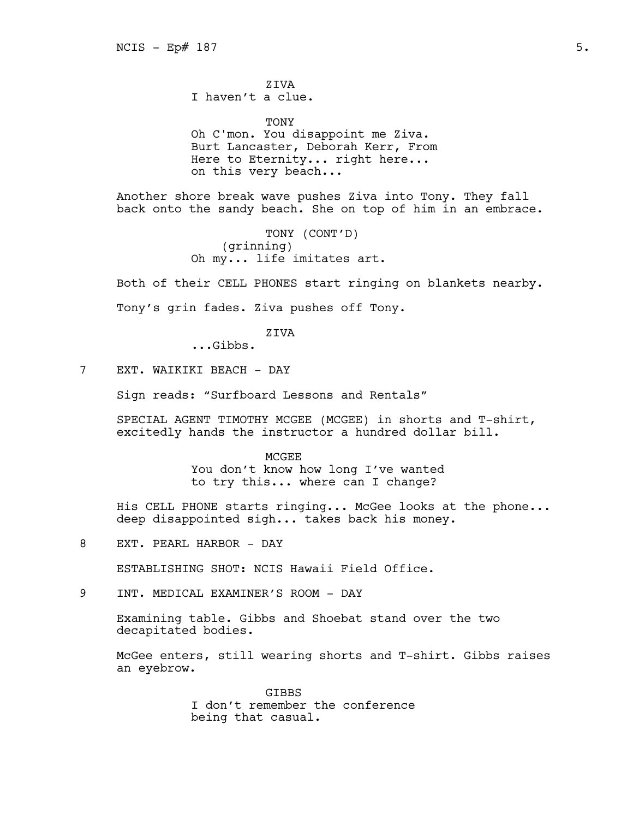ZIVA I haven't a clue.

TONY Oh C'mon. You disappoint me Ziva. Burt Lancaster, Deborah Kerr, From Here to Eternity... right here... on this very beach...

Another shore break wave pushes Ziva into Tony. They fall back onto the sandy beach. She on top of him in an embrace.

> TONY (CONT'D) (grinning) Oh my... life imitates art.

Both of their CELL PHONES start ringing on blankets nearby.

Tony's grin fades. Ziva pushes off Tony.

ZIVA

...Gibbs.

7 EXT. WAIKIKI BEACH - DAY

Sign reads: "Surfboard Lessons and Rentals"

SPECIAL AGENT TIMOTHY MCGEE (MCGEE) in shorts and T-shirt, excitedly hands the instructor a hundred dollar bill.

MCGEE

You don't know how long I've wanted to try this... where can I change?

His CELL PHONE starts ringing... McGee looks at the phone... deep disappointed sigh... takes back his money.

8 EXT. PEARL HARBOR - DAY

ESTABLISHING SHOT: NCIS Hawaii Field Office.

9 INT. MEDICAL EXAMINER'S ROOM - DAY

Examining table. Gibbs and Shoebat stand over the two decapitated bodies.

McGee enters, still wearing shorts and T-shirt. Gibbs raises an eyebrow.

> **GTBBS** I don't remember the conference being that casual.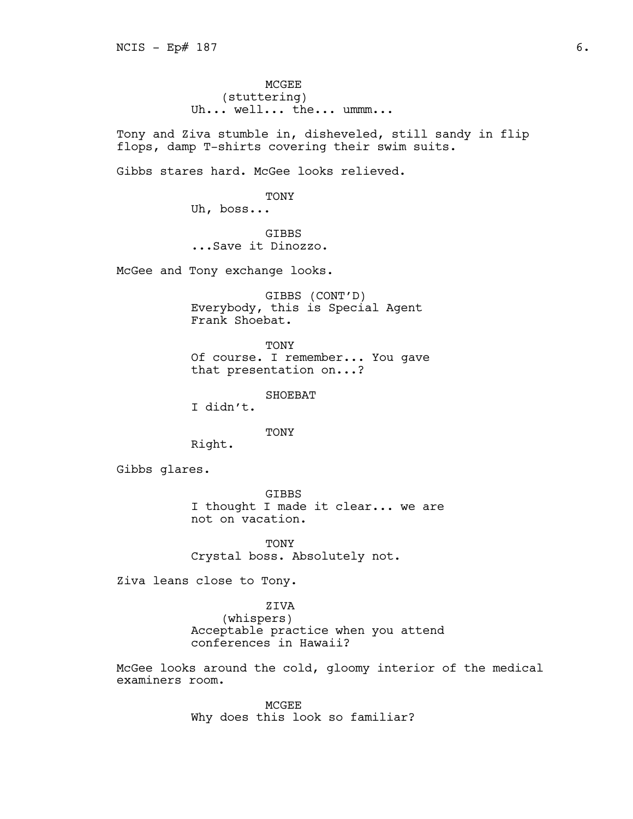MCGEE (stuttering) Uh... well... the... ummm...

Tony and Ziva stumble in, disheveled, still sandy in flip flops, damp T-shirts covering their swim suits.

Gibbs stares hard. McGee looks relieved.

TONY

Uh, boss...

GIBBS ...Save it Dinozzo.

McGee and Tony exchange looks.

GIBBS (CONT'D) Everybody, this is Special Agent Frank Shoebat.

TONY Of course. I remember... You gave that presentation on...?

SHOEBAT

I didn't.

TONY

Right.

Gibbs glares.

GIBBS I thought I made it clear... we are not on vacation.

**TONY** Crystal boss. Absolutely not.

Ziva leans close to Tony.

ZIVA

(whispers) Acceptable practice when you attend conferences in Hawaii?

McGee looks around the cold, gloomy interior of the medical examiners room.

> MCGEE Why does this look so familiar?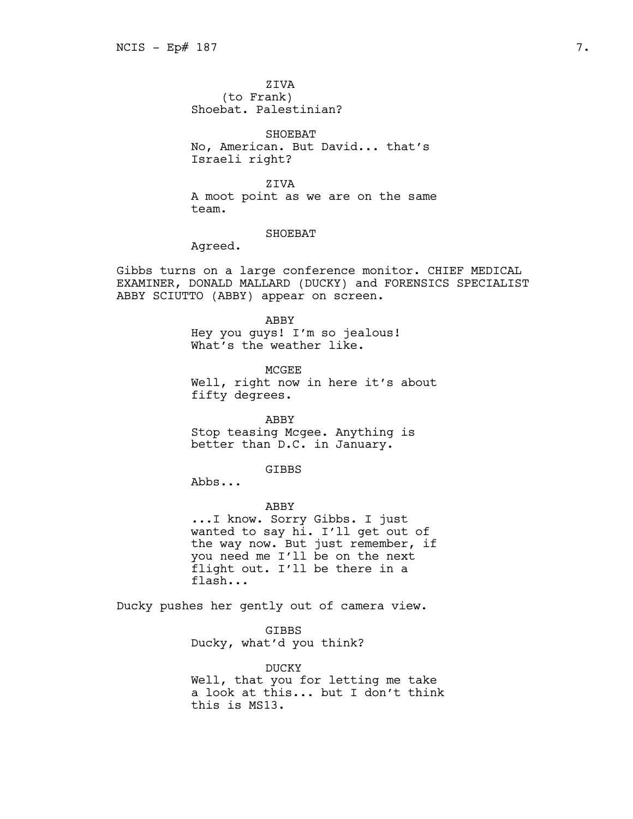ZIVA (to Frank) Shoebat. Palestinian?

SHOEBAT No, American. But David... that's Israeli right?

ZIVA

A moot point as we are on the same team.

## SHOEBAT

Agreed.

Gibbs turns on a large conference monitor. CHIEF MEDICAL EXAMINER, DONALD MALLARD (DUCKY) and FORENSICS SPECIALIST ABBY SCIUTTO (ABBY) appear on screen.

#### ABBY

Hey you guys! I'm so jealous! What's the weather like.

MCGEE Well, right now in here it's about fifty degrees.

ABBY Stop teasing Mcgee. Anything is better than D.C. in January.

# GIBBS

Abbs...

ABBY

...I know. Sorry Gibbs. I just wanted to say hi. I'll get out of the way now. But just remember, if you need me I'll be on the next flight out. I'll be there in a flash...

Ducky pushes her gently out of camera view.

GIBBS Ducky, what'd you think?

DUCKY Well, that you for letting me take a look at this... but I don't think this is MS13.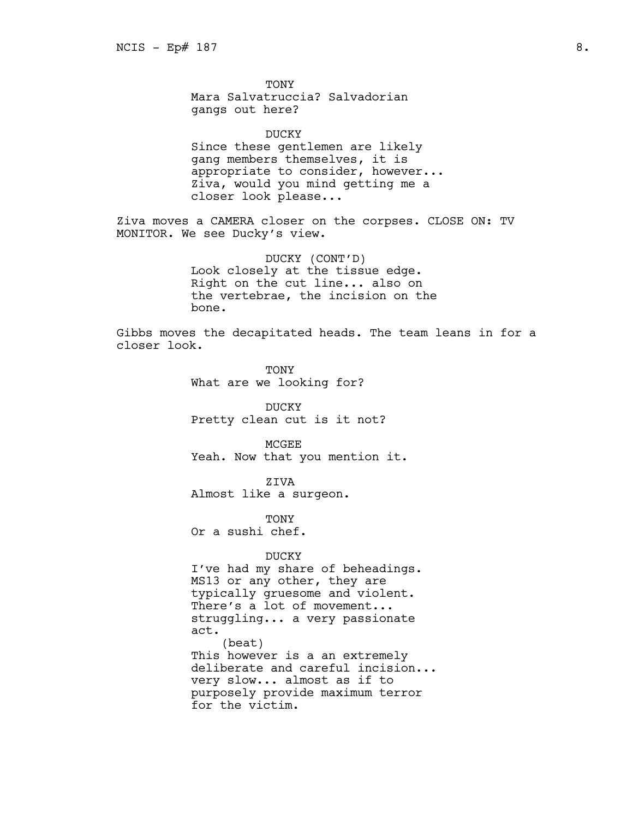TONY

Mara Salvatruccia? Salvadorian gangs out here?

DUCKY Since these gentlemen are likely gang members themselves, it is appropriate to consider, however... Ziva, would you mind getting me a closer look please...

Ziva moves a CAMERA closer on the corpses. CLOSE ON: TV MONITOR. We see Ducky's view.

> DUCKY (CONT'D) Look closely at the tissue edge. Right on the cut line... also on the vertebrae, the incision on the bone.

Gibbs moves the decapitated heads. The team leans in for a closer look.

> TONY What are we looking for?

DUCKY Pretty clean cut is it not?

MCGEE Yeah. Now that you mention it.

ZIVA Almost like a surgeon.

TONY Or a sushi chef.

# DUCKY

I've had my share of beheadings. MS13 or any other, they are typically gruesome and violent. There's a lot of movement... struggling... a very passionate act. (beat) This however is a an extremely deliberate and careful incision... very slow... almost as if to purposely provide maximum terror for the victim.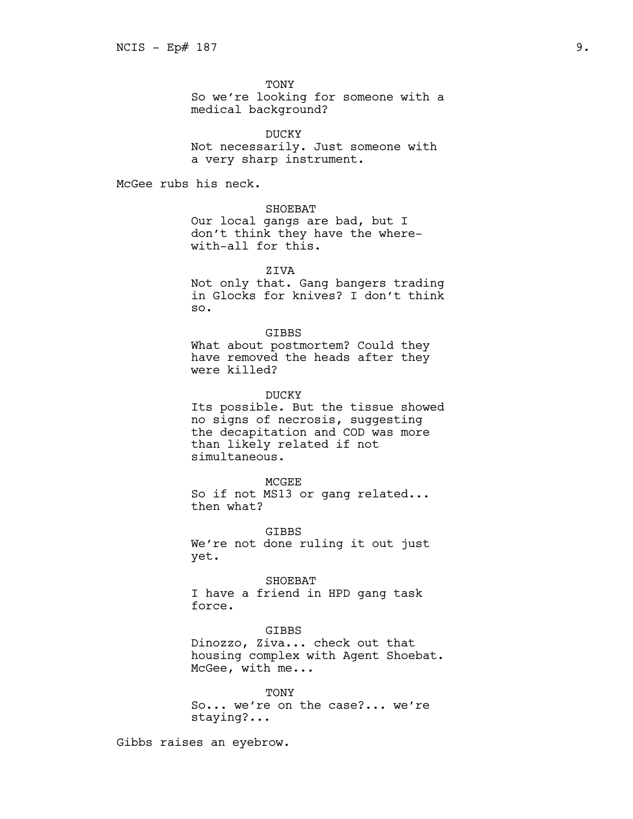TONY

So we're looking for someone with a medical background?

DUCKY

Not necessarily. Just someone with a very sharp instrument.

McGee rubs his neck.

# SHOEBAT

Our local gangs are bad, but I don't think they have the wherewith-all for this.

**ZTVA** 

Not only that. Gang bangers trading in Glocks for knives? I don't think so.

#### GIBBS

What about postmortem? Could they have removed the heads after they were killed?

DUCKY

Its possible. But the tissue showed no signs of necrosis, suggesting the decapitation and COD was more than likely related if not simultaneous.

MCGEE So if not MS13 or gang related... then what?

GIBBS We're not done ruling it out just yet.

SHOEBAT I have a friend in HPD gang task force.

## GIBBS

Dinozzo, Ziva... check out that housing complex with Agent Shoebat. McGee, with me...

**TONY** So... we're on the case?... we're staying?...

Gibbs raises an eyebrow.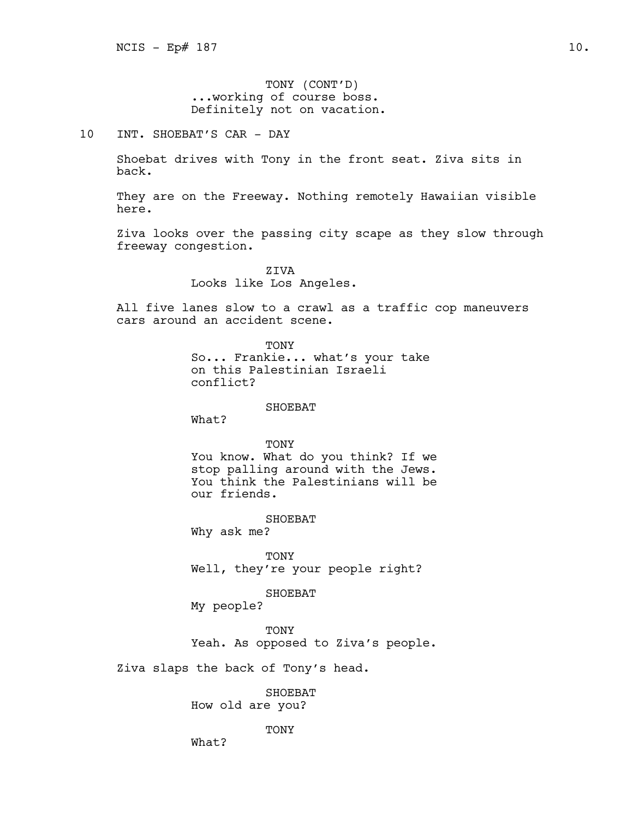TONY (CONT'D) ...working of course boss. Definitely not on vacation.

10 INT. SHOEBAT'S CAR - DAY

Shoebat drives with Tony in the front seat. Ziva sits in back.

They are on the Freeway. Nothing remotely Hawaiian visible here.

Ziva looks over the passing city scape as they slow through freeway congestion.

> **ZTVA** Looks like Los Angeles.

All five lanes slow to a crawl as a traffic cop maneuvers cars around an accident scene.

> TONY So... Frankie... what's your take on this Palestinian Israeli conflict?

> > SHOEBAT

What?

TONY

You know. What do you think? If we stop palling around with the Jews. You think the Palestinians will be our friends.

SHOEBAT

Why ask me?

TONY Well, they're your people right?

SHOEBAT

My people?

TONY Yeah. As opposed to Ziva's people.

Ziva slaps the back of Tony's head.

SHOEBAT How old are you?

TONY

What?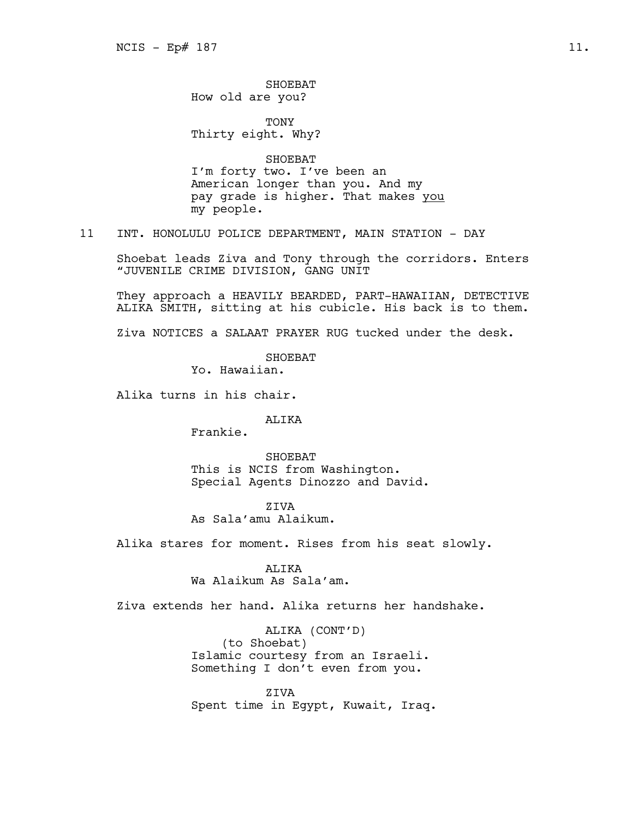SHOEBAT How old are you?

TONY Thirty eight. Why?

SHOEBAT I'm forty two. I've been an American longer than you. And my pay grade is higher. That makes you my people.

11 INT. HONOLULU POLICE DEPARTMENT, MAIN STATION - DAY

Shoebat leads Ziva and Tony through the corridors. Enters "JUVENILE CRIME DIVISION, GANG UNIT

They approach a HEAVILY BEARDED, PART-HAWAIIAN, DETECTIVE ALIKA SMITH, sitting at his cubicle. His back is to them.

Ziva NOTICES a SALAAT PRAYER RUG tucked under the desk.

SHOEBAT

Yo. Hawaiian.

Alika turns in his chair.

## ALIKA

Frankie.

SHOEBAT This is NCIS from Washington. Special Agents Dinozzo and David.

ZIVA As Sala'amu Alaikum.

Alika stares for moment. Rises from his seat slowly.

ALIKA Wa Alaikum As Sala'am.

Ziva extends her hand. Alika returns her handshake.

ALIKA (CONT'D) (to Shoebat) Islamic courtesy from an Israeli. Something I don't even from you.

ZIVA Spent time in Egypt, Kuwait, Iraq.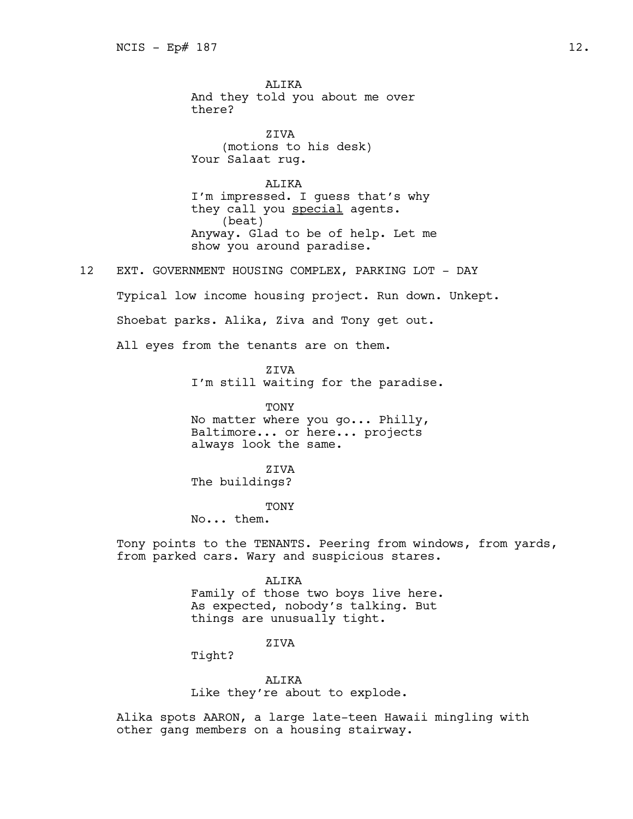ALIKA And they told you about me over there?

**ZIVA** (motions to his desk) Your Salaat rug.

ALIKA I'm impressed. I guess that's why they call you special agents. (beat) Anyway. Glad to be of help. Let me show you around paradise.

12 EXT. GOVERNMENT HOUSING COMPLEX, PARKING LOT - DAY

Typical low income housing project. Run down. Unkept.

Shoebat parks. Alika, Ziva and Tony get out.

All eyes from the tenants are on them.

ZIVA

I'm still waiting for the paradise.

TONY

No matter where you go... Philly, Baltimore... or here... projects always look the same.

ZIVA

The buildings?

TONY

No... them.

Tony points to the TENANTS. Peering from windows, from yards, from parked cars. Wary and suspicious stares.

ALIKA

Family of those two boys live here. As expected, nobody's talking. But things are unusually tight.

ZIVA

Tight?

ALTKA

Like they're about to explode.

Alika spots AARON, a large late-teen Hawaii mingling with other gang members on a housing stairway.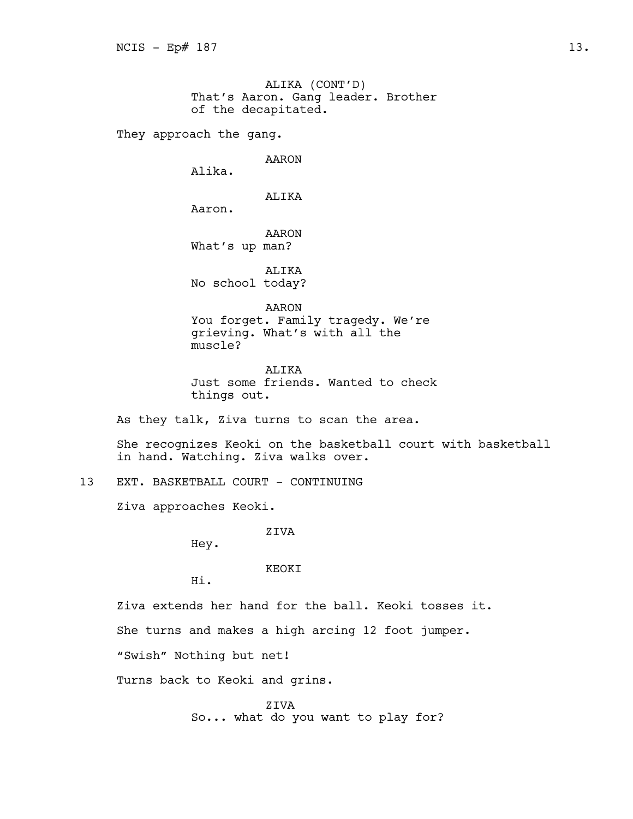ALIKA (CONT'D) That's Aaron. Gang leader. Brother of the decapitated.

They approach the gang.

AARON

Alika.

Aaron.

ALIKA

AARON

What's up man?

ALIKA No school today?

AARON You forget. Family tragedy. We're grieving. What's with all the muscle?

ALIKA Just some friends. Wanted to check things out.

As they talk, Ziva turns to scan the area.

She recognizes Keoki on the basketball court with basketball in hand. Watching. Ziva walks over.

13 EXT. BASKETBALL COURT - CONTINUING

Ziva approaches Keoki.

ZIVA

Hey.

# KEOKI

Hi.

Ziva extends her hand for the ball. Keoki tosses it.

She turns and makes a high arcing 12 foot jumper.

"Swish" Nothing but net!

Turns back to Keoki and grins.

ZIVA So... what do you want to play for?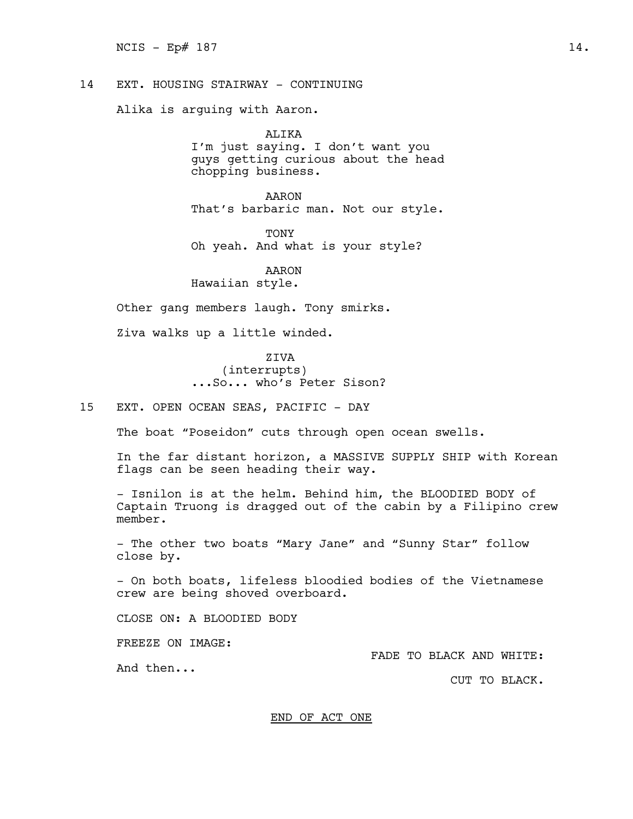14 EXT. HOUSING STAIRWAY - CONTINUING

Alika is arguing with Aaron.

ALIKA I'm just saying. I don't want you guys getting curious about the head chopping business.

AARON That's barbaric man. Not our style.

TONY

Oh yeah. And what is your style?

AARON Hawaiian style.

Other gang members laugh. Tony smirks.

Ziva walks up a little winded.

ZIVA (interrupts) ...So... who's Peter Sison?

15 EXT. OPEN OCEAN SEAS, PACIFIC - DAY

The boat "Poseidon" cuts through open ocean swells.

In the far distant horizon, a MASSIVE SUPPLY SHIP with Korean flags can be seen heading their way.

- Isnilon is at the helm. Behind him, the BLOODIED BODY of Captain Truong is dragged out of the cabin by a Filipino crew member.

- The other two boats "Mary Jane" and "Sunny Star" follow close by.

- On both boats, lifeless bloodied bodies of the Vietnamese crew are being shoved overboard.

CLOSE ON: A BLOODIED BODY

FREEZE ON IMAGE:

And then...

FADE TO BLACK AND WHITE:

CUT TO BLACK.

END OF ACT ONE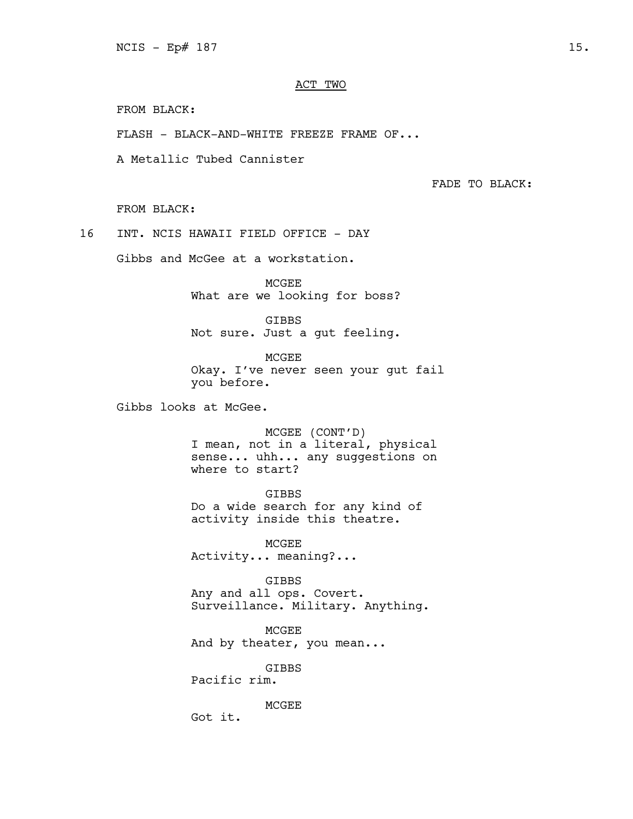# ACT TWO

FROM BLACK:

FLASH - BLACK-AND-WHITE FREEZE FRAME OF...

A Metallic Tubed Cannister

FADE TO BLACK:

FROM BLACK:

16 INT. NCIS HAWAII FIELD OFFICE - DAY

Gibbs and McGee at a workstation.

MCGEE What are we looking for boss?

GIBBS Not sure. Just a gut feeling.

MCGEE Okay. I've never seen your gut fail you before.

Gibbs looks at McGee.

MCGEE (CONT'D) I mean, not in a literal, physical sense... uhh... any suggestions on where to start?

GIBBS

Do a wide search for any kind of activity inside this theatre.

MCGEE Activity... meaning?...

GIBBS Any and all ops. Covert. Surveillance. Military. Anything.

MCGEE And by theater, you mean...

GIBBS

Pacific rim.

MCGEE

Got it.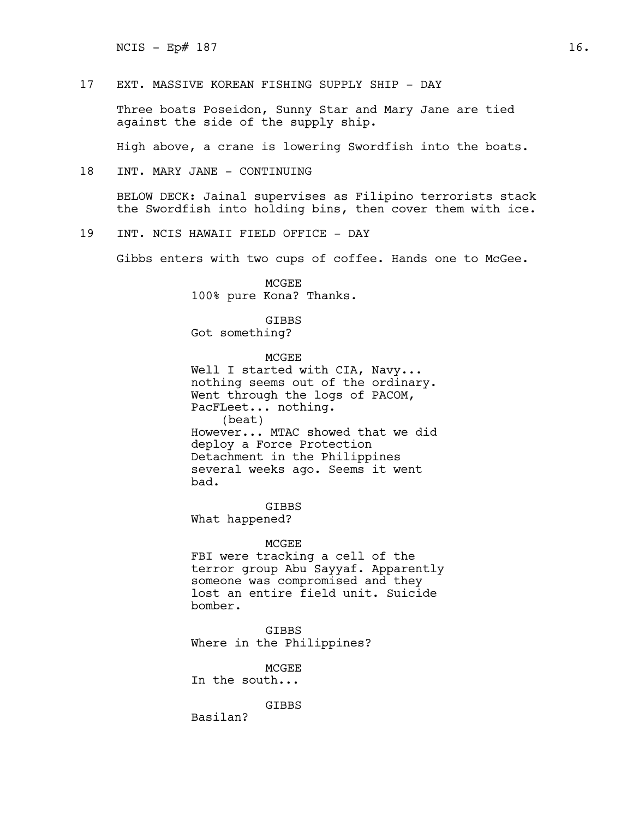$NCIS - Ep# 187$  16.

17 EXT. MASSIVE KOREAN FISHING SUPPLY SHIP - DAY

Three boats Poseidon, Sunny Star and Mary Jane are tied against the side of the supply ship.

High above, a crane is lowering Swordfish into the boats.

18 INT. MARY JANE - CONTINUING

BELOW DECK: Jainal supervises as Filipino terrorists stack the Swordfish into holding bins, then cover them with ice.

19 INT. NCIS HAWAII FIELD OFFICE - DAY

Gibbs enters with two cups of coffee. Hands one to McGee.

MCGEE 100% pure Kona? Thanks.

# GIBBS

Got something?

MCGEE

Well I started with CIA, Navy... nothing seems out of the ordinary. Went through the logs of PACOM, PacFLeet... nothing. (beat) However... MTAC showed that we did deploy a Force Protection Detachment in the Philippines several weeks ago. Seems it went bad.

GIBBS What happened?

## MCGEE

FBI were tracking a cell of the terror group Abu Sayyaf. Apparently someone was compromised and they lost an entire field unit. Suicide bomber.

GIBBS Where in the Philippines?

MCGEE In the south...

GIBBS

Basilan?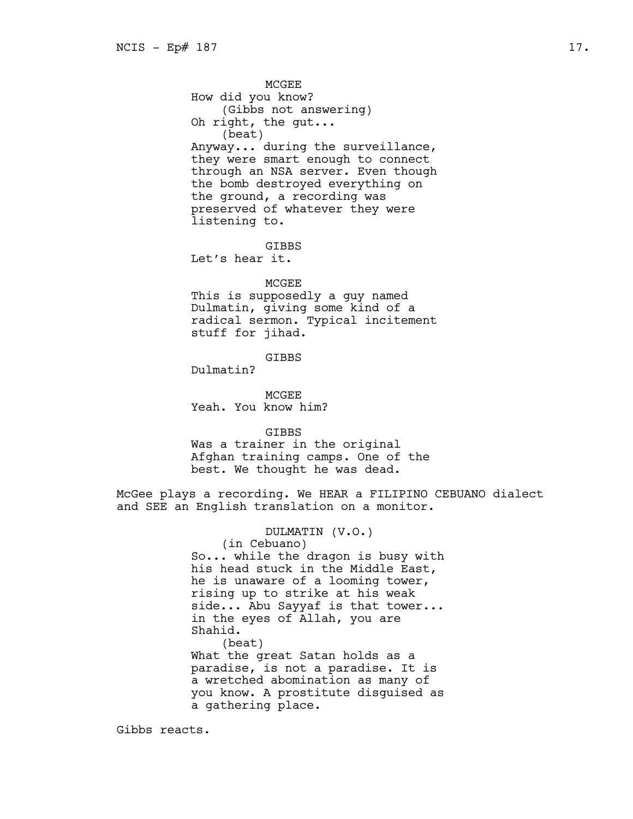MCGEE How did you know? (Gibbs not answering) Oh right, the gut... (beat) Anyway... during the surveillance, they were smart enough to connect through an NSA server. Even though the bomb destroyed everything on the ground, a recording was preserved of whatever they were listening to.

GIBBS Let's hear it.

#### MCGEE

This is supposedly a guy named Dulmatin, giving some kind of a radical sermon. Typical incitement stuff for jihad.

GIBBS

Dulmatin?

MCGEE Yeah. You know him?

GIBBS Was a trainer in the original Afghan training camps. One of the best. We thought he was dead.

McGee plays a recording. We HEAR a FILIPINO CEBUANO dialect and SEE an English translation on a monitor.

# DULMATIN (V.O.)

(in Cebuano) So... while the dragon is busy with his head stuck in the Middle East, he is unaware of a looming tower, rising up to strike at his weak side... Abu Sayyaf is that tower... in the eyes of Allah, you are Shahid. (beat) What the great Satan holds as a paradise, is not a paradise. It is a wretched abomination as many of you know. A prostitute disguised as a gathering place.

Gibbs reacts.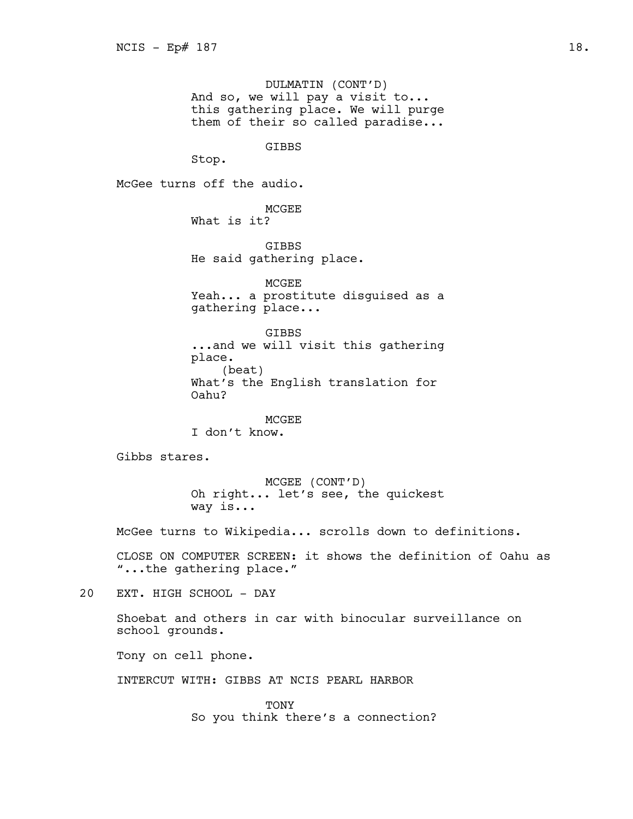DULMATIN (CONT'D) And so, we will pay a visit to... this gathering place. We will purge them of their so called paradise...

GIBBS

Stop.

McGee turns off the audio.

MCGEE What is it?

GIBBS He said gathering place.

MCGEE Yeah... a prostitute disguised as a gathering place...

GIBBS ...and we will visit this gathering place. (beat) What's the English translation for Oahu?

MCGEE I don't know.

Gibbs stares.

MCGEE (CONT'D) Oh right... let's see, the quickest way is...

McGee turns to Wikipedia... scrolls down to definitions.

CLOSE ON COMPUTER SCREEN: it shows the definition of Oahu as "...the gathering place."

20 EXT. HIGH SCHOOL - DAY

Shoebat and others in car with binocular surveillance on school grounds.

Tony on cell phone.

INTERCUT WITH: GIBBS AT NCIS PEARL HARBOR

**TONY** So you think there's a connection?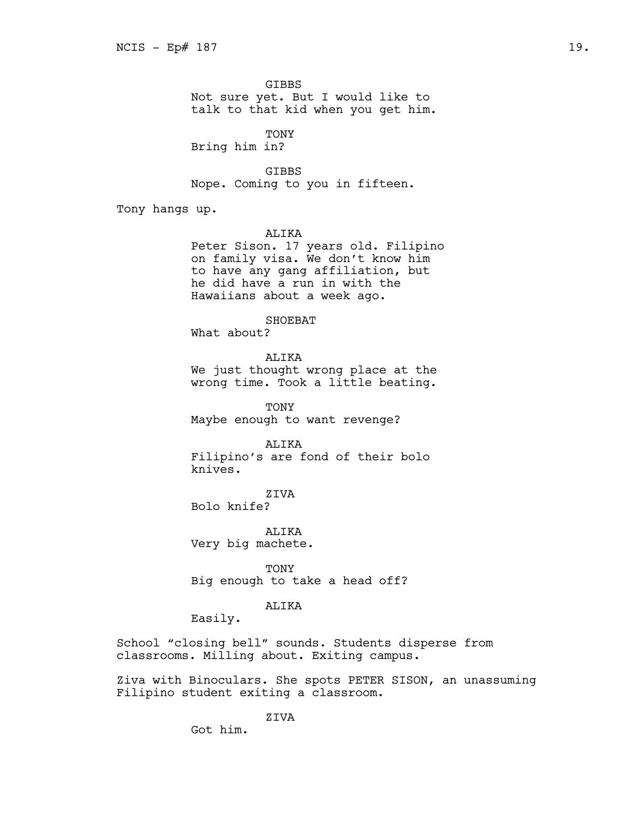GIBBS Not sure yet. But I would like to talk to that kid when you get him.

**TONY** Bring him in?

GIBBS Nope. Coming to you in fifteen.

Tony hangs up.

ALIKA

Peter Sison. 17 years old. Filipino on family visa. We don't know him to have any gang affiliation, but he did have a run in with the Hawaiians about a week ago.

SHOEBAT

What about?

ALIKA

We just thought wrong place at the wrong time. Took a little beating.

TONY Maybe enough to want revenge?

ALIKA Filipino's are fond of their bolo knives.

ZIVA Bolo knife?

ALIKA Very big machete.

TONY Big enough to take a head off?

# ALIKA

Easily.

School "closing bell" sounds. Students disperse from classrooms. Milling about. Exiting campus.

Ziva with Binoculars. She spots PETER SISON, an unassuming Filipino student exiting a classroom.

# ZIVA

Got him.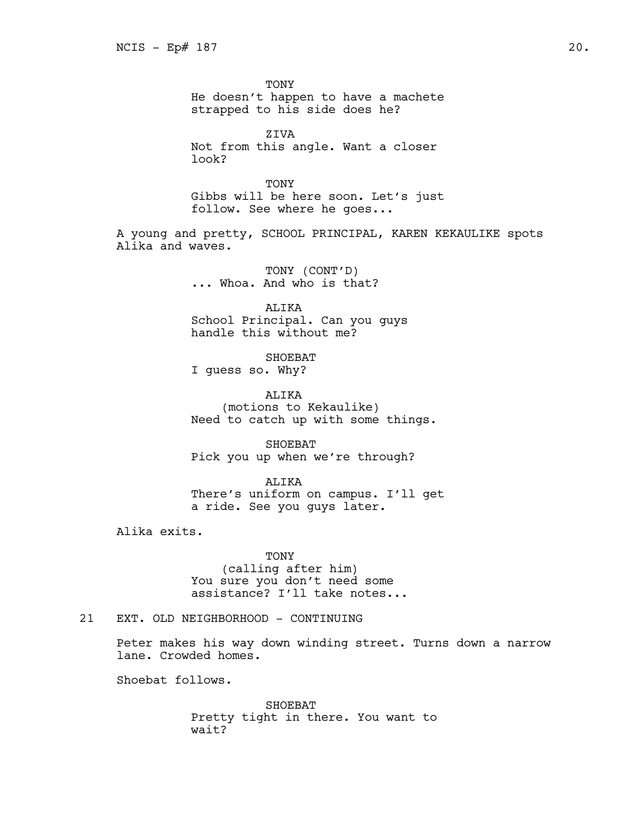TONY

He doesn't happen to have a machete strapped to his side does he?

ZIVA Not from this angle. Want a closer look?

TONY Gibbs will be here soon. Let's just follow. See where he goes...

A young and pretty, SCHOOL PRINCIPAL, KAREN KEKAULIKE spots Alika and waves.

> TONY (CONT'D) ... Whoa. And who is that?

ALIKA School Principal. Can you guys handle this without me?

SHOEBAT I guess so. Why?

ALIKA (motions to Kekaulike) Need to catch up with some things.

SHOEBAT Pick you up when we're through?

ALIKA There's uniform on campus. I'll get a ride. See you guys later.

Alika exits.

TONY (calling after him) You sure you don't need some assistance? I'll take notes...

21 EXT. OLD NEIGHBORHOOD - CONTINUING

Peter makes his way down winding street. Turns down a narrow lane. Crowded homes.

Shoebat follows.

SHOEBAT Pretty tight in there. You want to wait?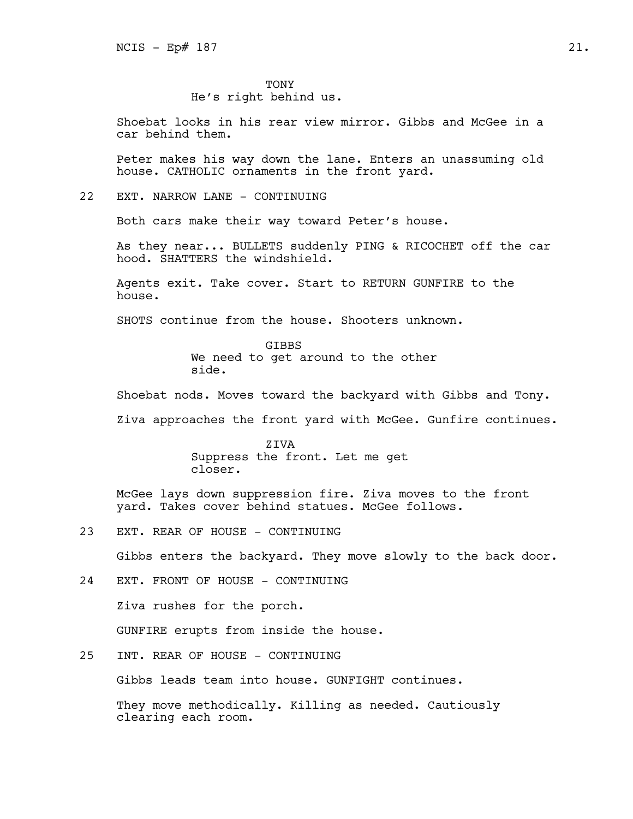TONY

He's right behind us.

Shoebat looks in his rear view mirror. Gibbs and McGee in a car behind them.

Peter makes his way down the lane. Enters an unassuming old house. CATHOLIC ornaments in the front yard.

# 22 EXT. NARROW LANE - CONTINUING

Both cars make their way toward Peter's house.

As they near... BULLETS suddenly PING & RICOCHET off the car hood. SHATTERS the windshield.

Agents exit. Take cover. Start to RETURN GUNFIRE to the house.

SHOTS continue from the house. Shooters unknown.

**GTBBS** We need to get around to the other side.

Shoebat nods. Moves toward the backyard with Gibbs and Tony.

Ziva approaches the front yard with McGee. Gunfire continues.

ZIVA Suppress the front. Let me get closer.

McGee lays down suppression fire. Ziva moves to the front yard. Takes cover behind statues. McGee follows.

23 EXT. REAR OF HOUSE - CONTINUING

Gibbs enters the backyard. They move slowly to the back door.

- 24 EXT. FRONT OF HOUSE CONTINUING Ziva rushes for the porch. GUNFIRE erupts from inside the house.
- 25 INT. REAR OF HOUSE CONTINUING

Gibbs leads team into house. GUNFIGHT continues.

They move methodically. Killing as needed. Cautiously clearing each room.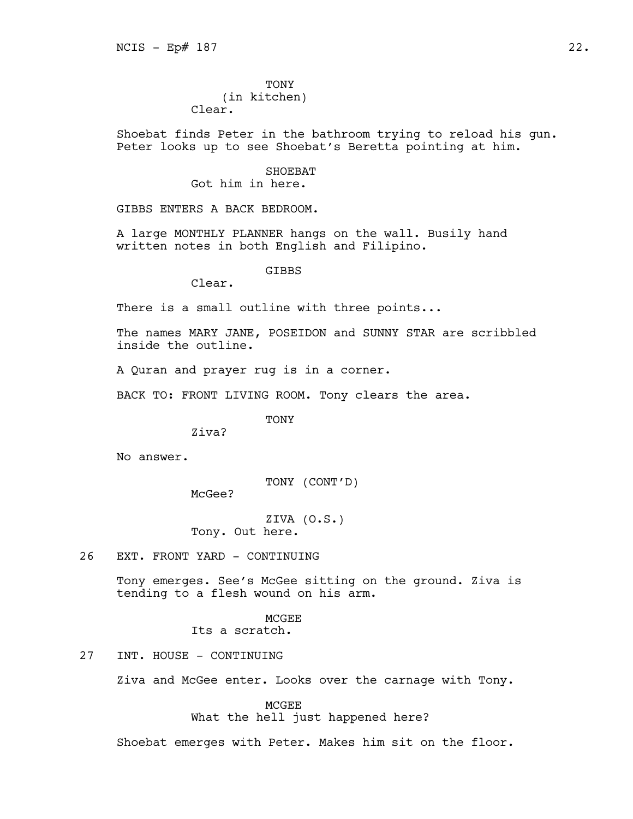TONY (in kitchen)

Clear.

Shoebat finds Peter in the bathroom trying to reload his gun. Peter looks up to see Shoebat's Beretta pointing at him.

# SHOEBAT Got him in here.

GIBBS ENTERS A BACK BEDROOM.

A large MONTHLY PLANNER hangs on the wall. Busily hand written notes in both English and Filipino.

**GTBBS** 

Clear.

There is a small outline with three points...

The names MARY JANE, POSEIDON and SUNNY STAR are scribbled inside the outline.

A Quran and prayer rug is in a corner.

BACK TO: FRONT LIVING ROOM. Tony clears the area.

TONY

Ziva?

No answer.

TONY (CONT'D)

McGee?

ZIVA (O.S.) Tony. Out here.

26 EXT. FRONT YARD - CONTINUING

Tony emerges. See's McGee sitting on the ground. Ziva is tending to a flesh wound on his arm.

# **MCGEE** Its a scratch.

27 INT. HOUSE - CONTINUING

Ziva and McGee enter. Looks over the carnage with Tony.

MCGEE What the hell just happened here?

Shoebat emerges with Peter. Makes him sit on the floor.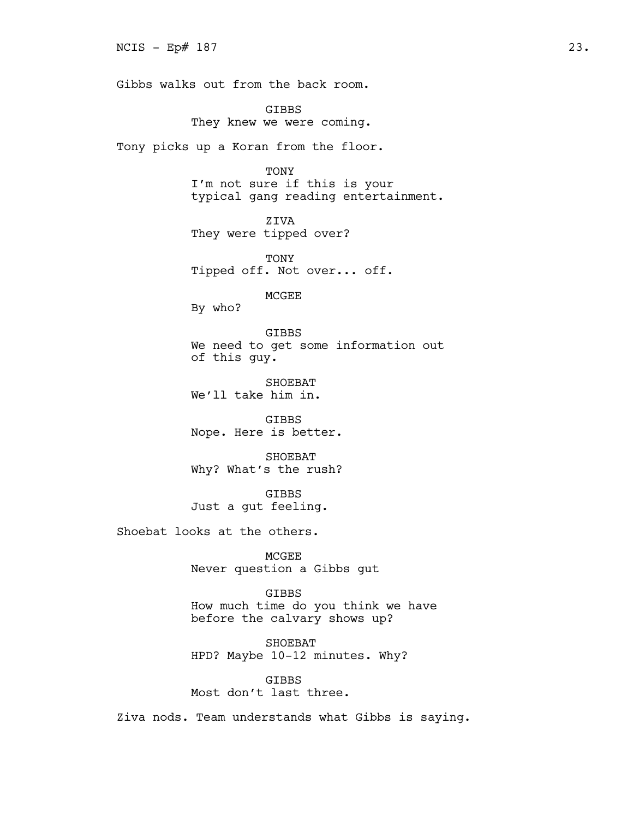Gibbs walks out from the back room.

GIBBS They knew we were coming.

Tony picks up a Koran from the floor.

TONY I'm not sure if this is your typical gang reading entertainment.

ZIVA They were tipped over?

TONY Tipped off. Not over... off.

MCGEE

By who?

GIBBS We need to get some information out of this guy.

SHOEBAT We'll take him in.

GIBBS Nope. Here is better.

SHOEBAT Why? What's the rush?

GIBBS Just a gut feeling.

Shoebat looks at the others.

MCGEE Never question a Gibbs gut

GIBBS How much time do you think we have

before the calvary shows up?

SHOEBAT HPD? Maybe 10-12 minutes. Why?

**GTBBS** Most don't last three.

Ziva nods. Team understands what Gibbs is saying.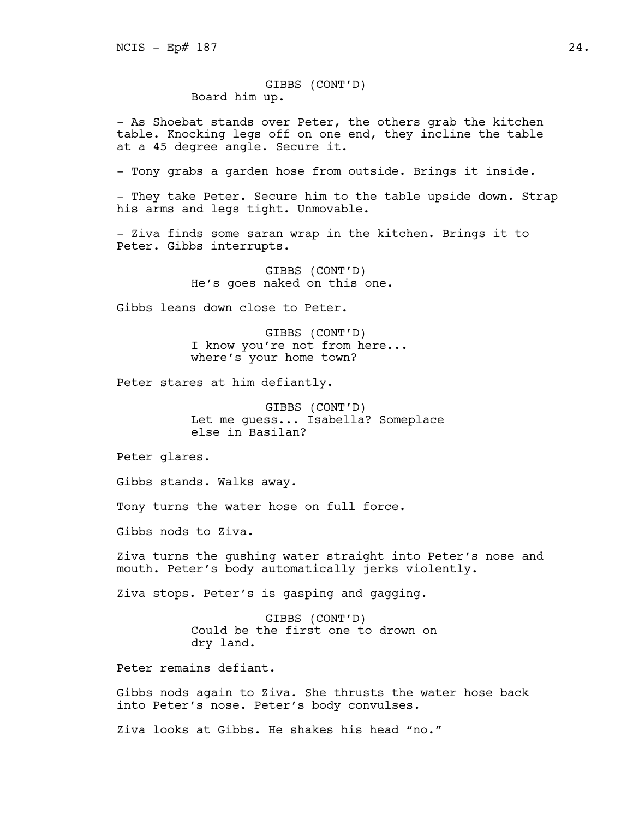GIBBS (CONT'D) Board him up.

- As Shoebat stands over Peter, the others grab the kitchen table. Knocking legs off on one end, they incline the table at a 45 degree angle. Secure it.

- Tony grabs a garden hose from outside. Brings it inside.

- They take Peter. Secure him to the table upside down. Strap his arms and legs tight. Unmovable.

- Ziva finds some saran wrap in the kitchen. Brings it to Peter. Gibbs interrupts.

> GIBBS (CONT'D) He's goes naked on this one.

Gibbs leans down close to Peter.

GIBBS (CONT'D) I know you're not from here... where's your home town?

Peter stares at him defiantly.

GIBBS (CONT'D) Let me guess... Isabella? Someplace else in Basilan?

Peter glares.

Gibbs stands. Walks away.

Tony turns the water hose on full force.

Gibbs nods to Ziva.

Ziva turns the gushing water straight into Peter's nose and mouth. Peter's body automatically jerks violently.

Ziva stops. Peter's is gasping and gagging.

GIBBS (CONT'D) Could be the first one to drown on dry land.

Peter remains defiant.

Gibbs nods again to Ziva. She thrusts the water hose back into Peter's nose. Peter's body convulses.

Ziva looks at Gibbs. He shakes his head "no."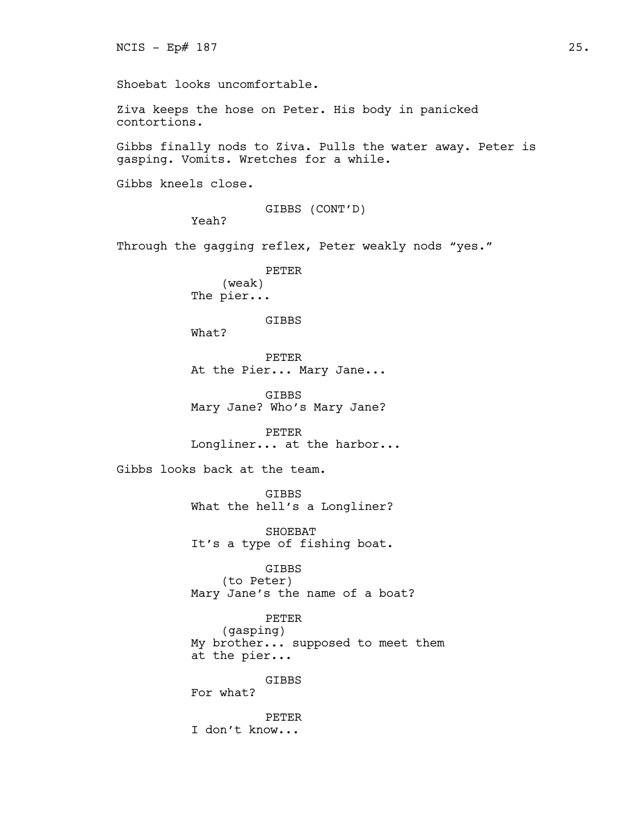```
Shoebat looks uncomfortable.
Ziva keeps the hose on Peter. His body in panicked 
contortions.
Gibbs finally nods to Ziva. Pulls the water away. Peter is 
gasping. Vomits. Wretches for a while.
Gibbs kneels close.
                     GIBBS (CONT'D)
          Yeah?
Through the gagging reflex, Peter weakly nods "yes."
                     PETER
               (weak)
          The pier...
                     GIBBS
          What?
                     PETER
          At the Pier... Mary Jane...
                     GIBBS
          Mary Jane? Who's Mary Jane?
                     PETER
          Longliner... at the harbor...
Gibbs looks back at the team.
                     GIBBS
          What the hell's a Longliner?
                     SHOEBAT
          It's a type of fishing boat.
                     GIBBS
               (to Peter)
          Mary Jane's the name of a boat?
                     PETER
               (gasping)
          My brother... supposed to meet them 
          at the pier...
                     GIBBS
          For what?
                     PETER
          I don't know...
```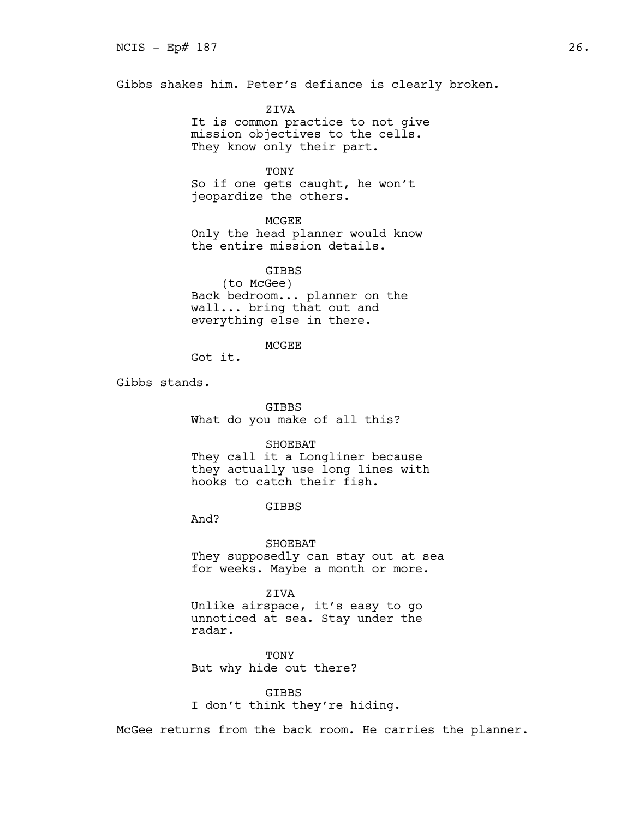Gibbs shakes him. Peter's defiance is clearly broken.

ZIVA It is common practice to not give mission objectives to the cells. They know only their part.

## TONY

So if one gets caught, he won't jeopardize the others.

MCGEE

Only the head planner would know the entire mission details.

**GTBBS** (to McGee) Back bedroom... planner on the wall... bring that out and everything else in there.

MCGEE

Got it.

Gibbs stands.

**GTBBS** What do you make of all this?

## SHOEBAT

They call it a Longliner because they actually use long lines with hooks to catch their fish.

GIBBS

And?

SHOEBAT They supposedly can stay out at sea for weeks. Maybe a month or more.

ZIVA

Unlike airspace, it's easy to go unnoticed at sea. Stay under the radar.

TONY But why hide out there?

GIBBS I don't think they're hiding.

McGee returns from the back room. He carries the planner.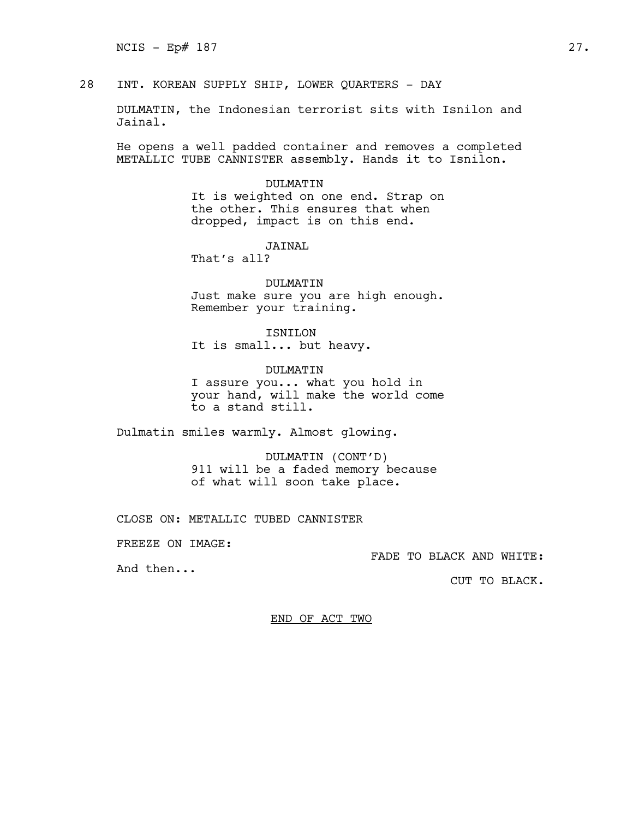28 INT. KOREAN SUPPLY SHIP, LOWER QUARTERS - DAY

DULMATIN, the Indonesian terrorist sits with Isnilon and Jainal.

He opens a well padded container and removes a completed METALLIC TUBE CANNISTER assembly. Hands it to Isnilon.

## DULMATIN

It is weighted on one end. Strap on the other. This ensures that when dropped, impact is on this end.

JAINAL

That's all?

DULMATIN Just make sure you are high enough. Remember your training.

ISNILON It is small... but heavy.

DULMATIN I assure you... what you hold in your hand, will make the world come to a stand still.

Dulmatin smiles warmly. Almost glowing.

DULMATIN (CONT'D) 911 will be a faded memory because of what will soon take place.

CLOSE ON: METALLIC TUBED CANNISTER

FREEZE ON IMAGE:

FADE TO BLACK AND WHITE:

And then...

CUT TO BLACK.

END OF ACT TWO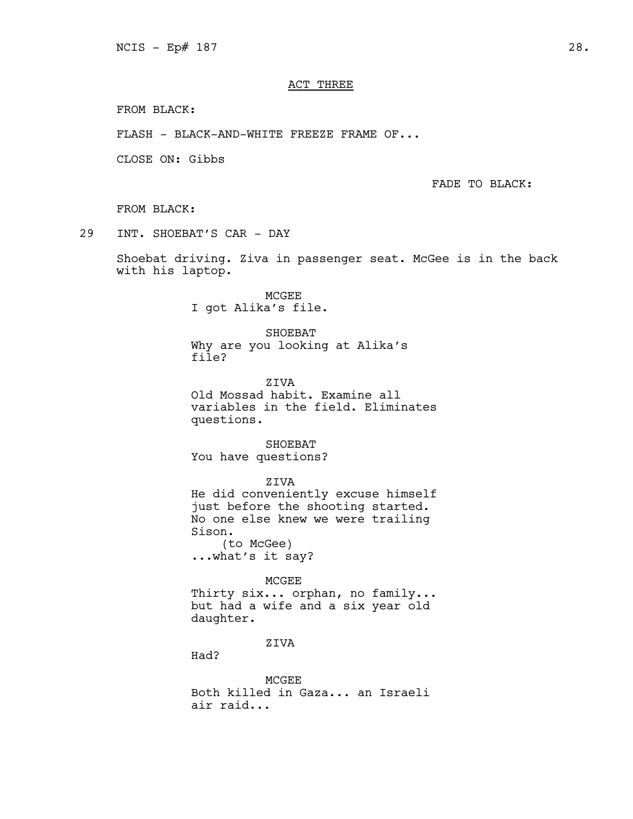# ACT THREE

FROM BLACK:

FLASH - BLACK-AND-WHITE FREEZE FRAME OF...

CLOSE ON: Gibbs

FADE TO BLACK:

FROM BLACK:

29 INT. SHOEBAT'S CAR - DAY

Shoebat driving. Ziva in passenger seat. McGee is in the back with his laptop.

> MCGEE I got Alika's file.

SHOEBAT Why are you looking at Alika's file?

ZIVA Old Mossad habit. Examine all variables in the field. Eliminates questions.

SHOEBAT You have questions?

ZIVA He did conveniently excuse himself just before the shooting started. No one else knew we were trailing Sison. (to McGee) ...what's it say?

#### MCGEE

Thirty six... orphan, no family... but had a wife and a six year old daughter.

ZIVA

Had?

MCGEE Both killed in Gaza... an Israeli air raid...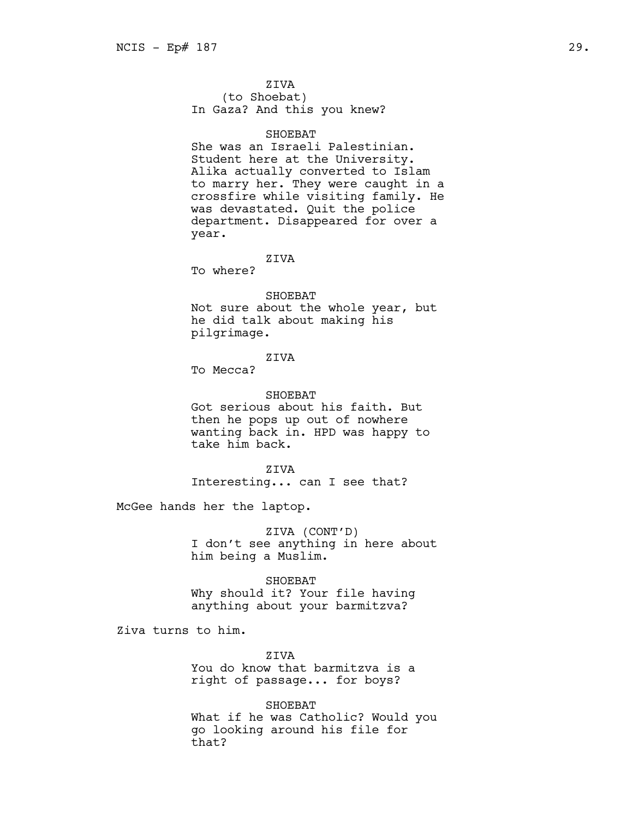# ZIVA

(to Shoebat) In Gaza? And this you knew?

# SHOEBAT

She was an Israeli Palestinian. Student here at the University. Alika actually converted to Islam to marry her. They were caught in a crossfire while visiting family. He was devastated. Quit the police department. Disappeared for over a year.

## ZIVA

To where?

# SHOEBAT

Not sure about the whole year, but he did talk about making his pilgrimage.

# ZIVA

To Mecca?

# SHOEBAT

Got serious about his faith. But then he pops up out of nowhere wanting back in. HPD was happy to take him back.

#### ZIVA

Interesting... can I see that?

McGee hands her the laptop.

ZIVA (CONT'D) I don't see anything in here about him being a Muslim.

# SHOEBAT

Why should it? Your file having anything about your barmitzva?

Ziva turns to him.

ZIVA You do know that barmitzva is a right of passage... for boys?

SHOEBAT What if he was Catholic? Would you go looking around his file for that?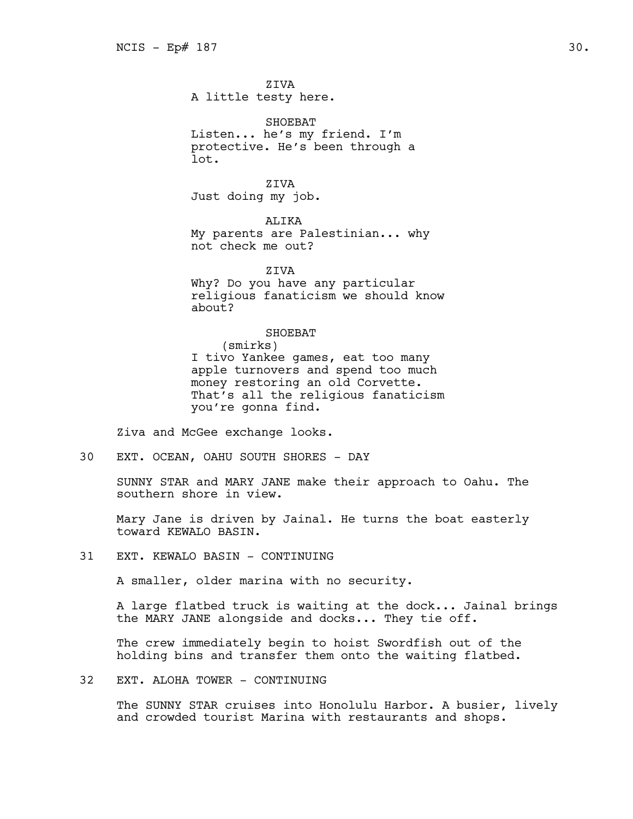ZIVA A little testy here.

SHOEBAT Listen... he's my friend. I'm protective. He's been through a lot.

ZIVA Just doing my job.

ALIKA My parents are Palestinian... why not check me out?

**ZTVA** 

Why? Do you have any particular religious fanaticism we should know about?

#### SHOEBAT

(smirks) I tivo Yankee games, eat too many apple turnovers and spend too much money restoring an old Corvette. That's all the religious fanaticism you're gonna find.

Ziva and McGee exchange looks.

30 EXT. OCEAN, OAHU SOUTH SHORES - DAY

SUNNY STAR and MARY JANE make their approach to Oahu. The southern shore in view.

Mary Jane is driven by Jainal. He turns the boat easterly toward KEWALO BASIN.

31 EXT. KEWALO BASIN - CONTINUING

A smaller, older marina with no security.

A large flatbed truck is waiting at the dock... Jainal brings the MARY JANE alongside and docks... They tie off.

The crew immediately begin to hoist Swordfish out of the holding bins and transfer them onto the waiting flatbed.

32 EXT. ALOHA TOWER - CONTINUING

The SUNNY STAR cruises into Honolulu Harbor. A busier, lively and crowded tourist Marina with restaurants and shops.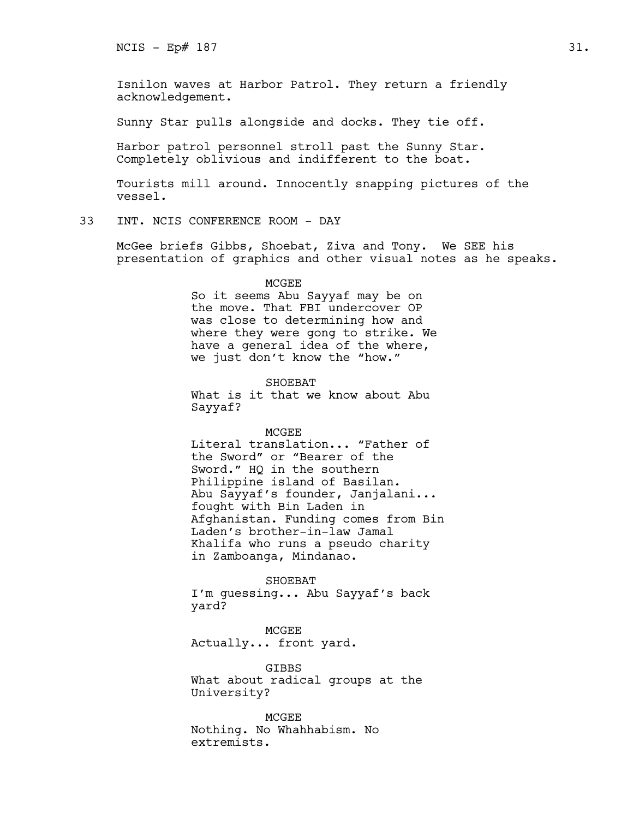Isnilon waves at Harbor Patrol. They return a friendly acknowledgement.

Sunny Star pulls alongside and docks. They tie off.

Harbor patrol personnel stroll past the Sunny Star. Completely oblivious and indifferent to the boat.

Tourists mill around. Innocently snapping pictures of the vessel.

# 33 INT. NCIS CONFERENCE ROOM - DAY

McGee briefs Gibbs, Shoebat, Ziva and Tony. We SEE his presentation of graphics and other visual notes as he speaks.

#### MCGEE

So it seems Abu Sayyaf may be on the move. That FBI undercover OP was close to determining how and where they were gong to strike. We have a general idea of the where, we just don't know the "how."

SHOEBAT What is it that we know about Abu Sayyaf?

# MCGEE

Literal translation... "Father of the Sword" or "Bearer of the Sword." HQ in the southern Philippine island of Basilan. Abu Sayyaf's founder, Janjalani... fought with Bin Laden in Afghanistan. Funding comes from Bin Laden's brother-in-law Jamal Khalifa who runs a pseudo charity in Zamboanga, Mindanao.

SHOEBAT

I'm guessing... Abu Sayyaf's back yard?

MCGEE Actually... front yard.

GIBBS What about radical groups at the University?

MCGEE Nothing. No Whahhabism. No extremists.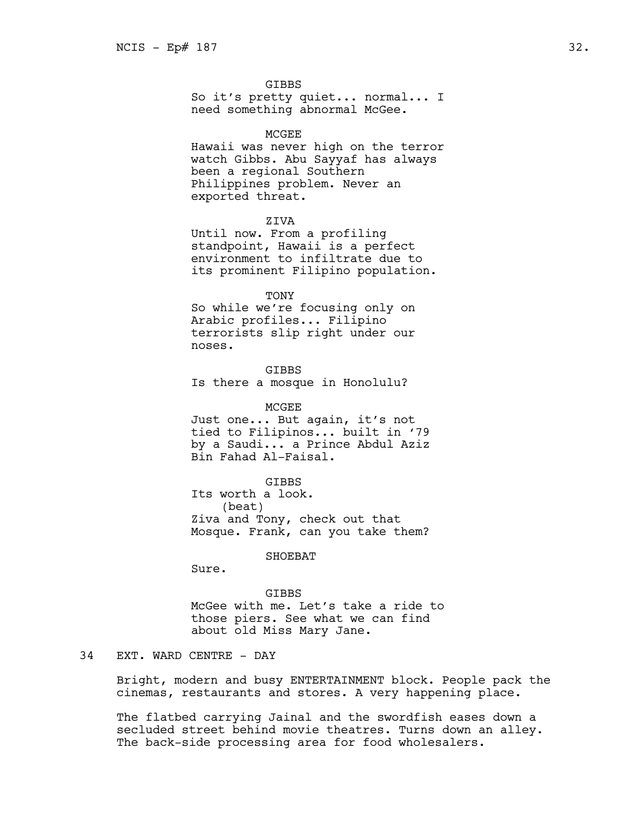#### GIBBS

So it's pretty quiet... normal... I need something abnormal McGee.

#### **MCGEE**

Hawaii was never high on the terror watch Gibbs. Abu Sayyaf has always been a regional Southern Philippines problem. Never an exported threat.

## ZIVA

Until now. From a profiling standpoint, Hawaii is a perfect environment to infiltrate due to its prominent Filipino population.

TONY So while we're focusing only on Arabic profiles... Filipino terrorists slip right under our noses.

GIBBS Is there a mosque in Honolulu?

MCGEE Just one... But again, it's not tied to Filipinos... built in '79 by a Saudi... a Prince Abdul Aziz Bin Fahad Al-Faisal.

GIBBS Its worth a look. (beat) Ziva and Tony, check out that Mosque. Frank, can you take them?

SHOEBAT

Sure.

GIBBS

McGee with me. Let's take a ride to those piers. See what we can find about old Miss Mary Jane.

# 34 EXT. WARD CENTRE - DAY

Bright, modern and busy ENTERTAINMENT block. People pack the cinemas, restaurants and stores. A very happening place.

The flatbed carrying Jainal and the swordfish eases down a secluded street behind movie theatres. Turns down an alley. The back-side processing area for food wholesalers.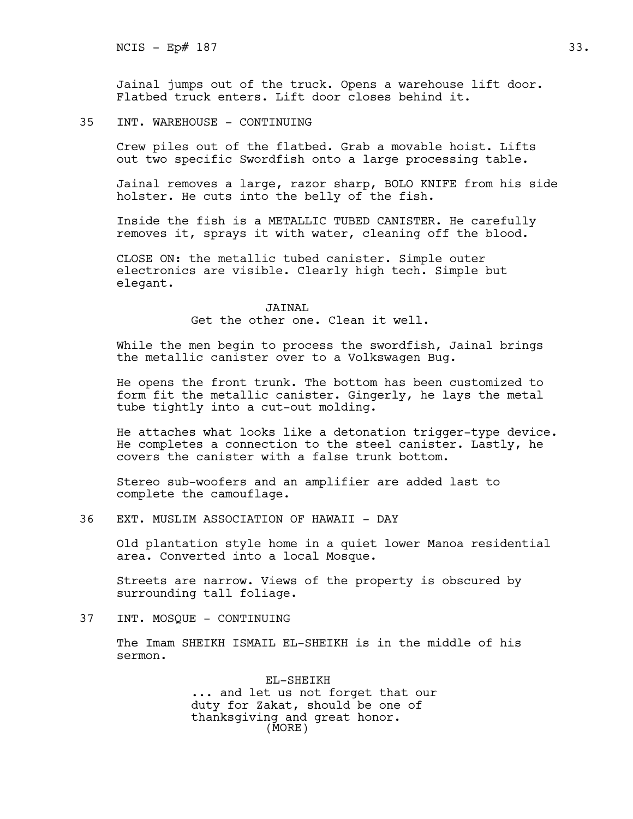Jainal jumps out of the truck. Opens a warehouse lift door. Flatbed truck enters. Lift door closes behind it.

35 INT. WAREHOUSE - CONTINUING

Crew piles out of the flatbed. Grab a movable hoist. Lifts out two specific Swordfish onto a large processing table.

Jainal removes a large, razor sharp, BOLO KNIFE from his side holster. He cuts into the belly of the fish.

Inside the fish is a METALLIC TUBED CANISTER. He carefully removes it, sprays it with water, cleaning off the blood.

CLOSE ON: the metallic tubed canister. Simple outer electronics are visible. Clearly high tech. Simple but elegant.

> JAINAL Get the other one. Clean it well.

While the men begin to process the swordfish, Jainal brings the metallic canister over to a Volkswagen Bug.

He opens the front trunk. The bottom has been customized to form fit the metallic canister. Gingerly, he lays the metal tube tightly into a cut-out molding.

He attaches what looks like a detonation trigger-type device. He completes a connection to the steel canister. Lastly, he covers the canister with a false trunk bottom.

Stereo sub-woofers and an amplifier are added last to complete the camouflage.

36 EXT. MUSLIM ASSOCIATION OF HAWAII - DAY

Old plantation style home in a quiet lower Manoa residential area. Converted into a local Mosque.

Streets are narrow. Views of the property is obscured by surrounding tall foliage.

37 INT. MOSQUE - CONTINUING

The Imam SHEIKH ISMAIL EL-SHEIKH is in the middle of his sermon.

> EL-SHEIKH ... and let us not forget that our duty for Zakat, should be one of thanksgiving and great honor. (MORE)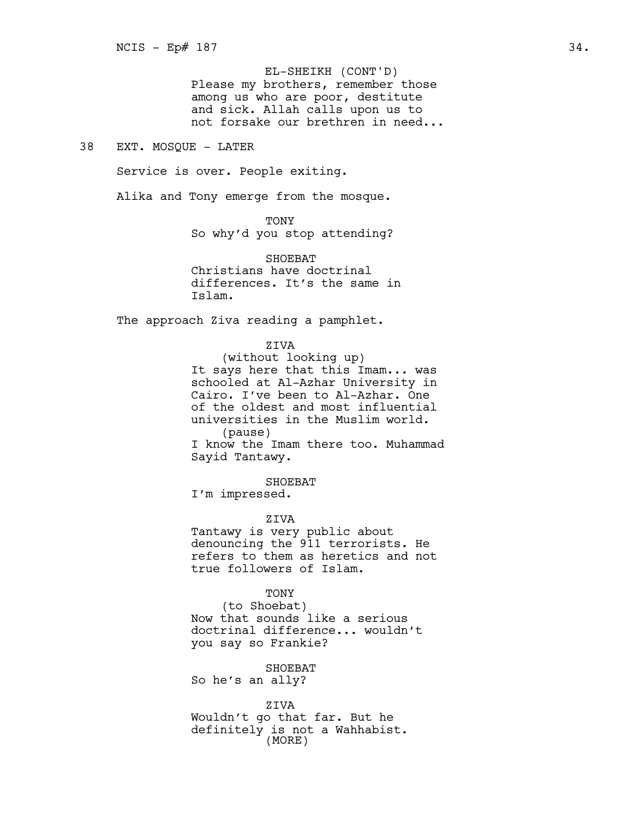Please my brothers, remember those among us who are poor, destitute and sick. Allah calls upon us to not forsake our brethren in need... EL-SHEIKH (CONT'D)

# 38 EXT. MOSQUE - LATER

Service is over. People exiting.

Alika and Tony emerge from the mosque.

TONY

So why'd you stop attending?

SHOEBAT Christians have doctrinal differences. It's the same in Islam.

The approach Ziva reading a pamphlet.

ZIVA

(without looking up) It says here that this Imam... was schooled at Al-Azhar University in Cairo. I've been to Al-Azhar. One of the oldest and most influential universities in the Muslim world. (pause) I know the Imam there too. Muhammad Sayid Tantawy.

SHOEBAT

I'm impressed.

ZIVA

Tantawy is very public about denouncing the 911 terrorists. He refers to them as heretics and not true followers of Islam.

TONY

(to Shoebat) Now that sounds like a serious doctrinal difference... wouldn't you say so Frankie?

SHOEBAT So he's an ally?

ZIVA Wouldn't go that far. But he definitely is not a Wahhabist. (MORE)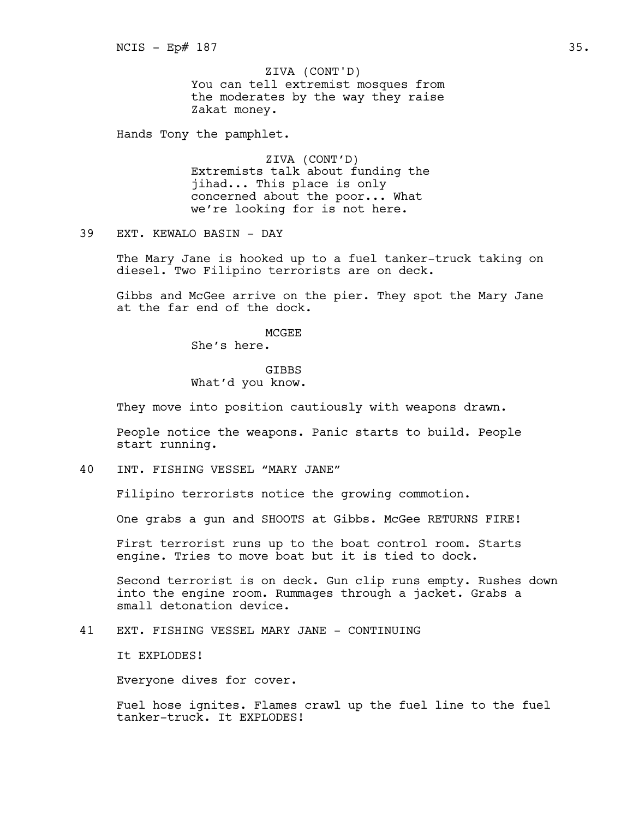You can tell extremist mosques from the moderates by the way they raise Zakat money. ZIVA (CONT'D)

Hands Tony the pamphlet.

ZIVA (CONT'D) Extremists talk about funding the jihad... This place is only concerned about the poor... What we're looking for is not here.

39 EXT. KEWALO BASIN - DAY

The Mary Jane is hooked up to a fuel tanker-truck taking on diesel. Two Filipino terrorists are on deck.

Gibbs and McGee arrive on the pier. They spot the Mary Jane at the far end of the dock.

**MCGEE** 

She's here.

GIBBS What'd you know.

They move into position cautiously with weapons drawn.

People notice the weapons. Panic starts to build. People start running.

40 INT. FISHING VESSEL "MARY JANE"

Filipino terrorists notice the growing commotion.

One grabs a gun and SHOOTS at Gibbs. McGee RETURNS FIRE!

First terrorist runs up to the boat control room. Starts engine. Tries to move boat but it is tied to dock.

Second terrorist is on deck. Gun clip runs empty. Rushes down into the engine room. Rummages through a jacket. Grabs a small detonation device.

41 EXT. FISHING VESSEL MARY JANE - CONTINUING

It EXPLODES!

Everyone dives for cover.

Fuel hose ignites. Flames crawl up the fuel line to the fuel tanker-truck. It EXPLODES!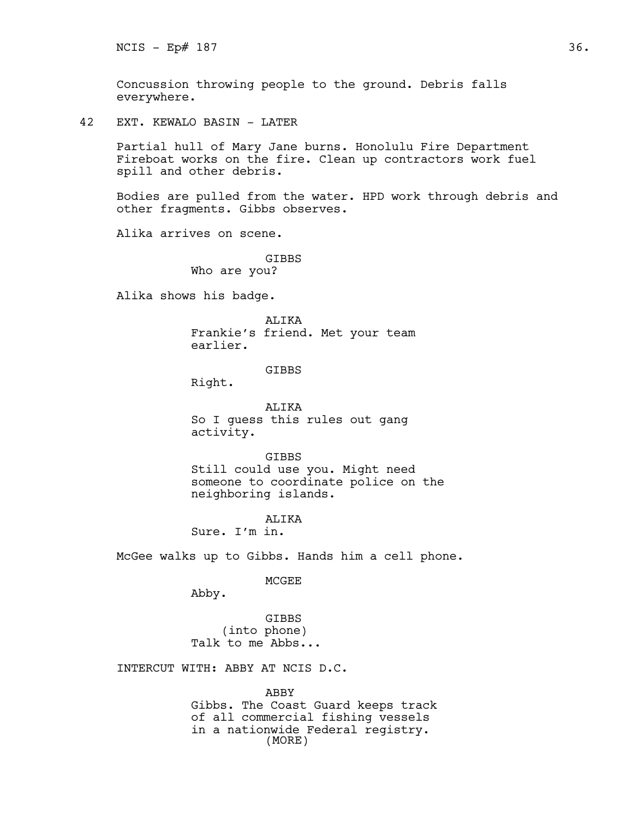Concussion throwing people to the ground. Debris falls everywhere.

42 EXT. KEWALO BASIN - LATER

Partial hull of Mary Jane burns. Honolulu Fire Department Fireboat works on the fire. Clean up contractors work fuel spill and other debris.

Bodies are pulled from the water. HPD work through debris and other fragments. Gibbs observes.

Alika arrives on scene.

GIBBS Who are you?

Alika shows his badge.

ALIKA Frankie's friend. Met your team earlier.

GIBBS

Right.

ALIKA So I guess this rules out gang activity.

GIBBS Still could use you. Might need

someone to coordinate police on the neighboring islands.

ALIKA

Sure. I'm in.

McGee walks up to Gibbs. Hands him a cell phone.

MCGEE

Abby.

GIBBS (into phone) Talk to me Abbs...

INTERCUT WITH: ABBY AT NCIS D.C.

ABBY Gibbs. The Coast Guard keeps track of all commercial fishing vessels in a nationwide Federal registry. (MORE)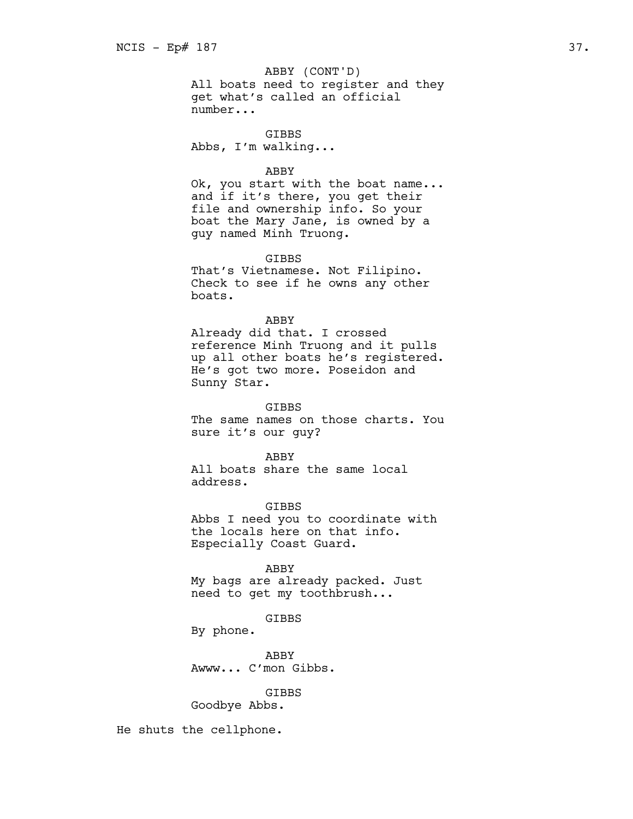All boats need to register and they get what's called an official number... ABBY (CONT'D)

**GTBBS** Abbs, I'm walking...

#### ABBY

Ok, you start with the boat name... and if it's there, you get their file and ownership info. So your boat the Mary Jane, is owned by a guy named Minh Truong.

#### GIBBS

That's Vietnamese. Not Filipino. Check to see if he owns any other boats.

## ABBY

Already did that. I crossed reference Minh Truong and it pulls up all other boats he's registered. He's got two more. Poseidon and Sunny Star.

**GTBBS** 

The same names on those charts. You sure it's our guy?

## ABBY

All boats share the same local address.

GIBBS

Abbs I need you to coordinate with the locals here on that info. Especially Coast Guard.

ABBY

My bags are already packed. Just need to get my toothbrush...

GIBBS

By phone.

ABBY Awww... C'mon Gibbs.

#### GIBBS

Goodbye Abbs.

He shuts the cellphone.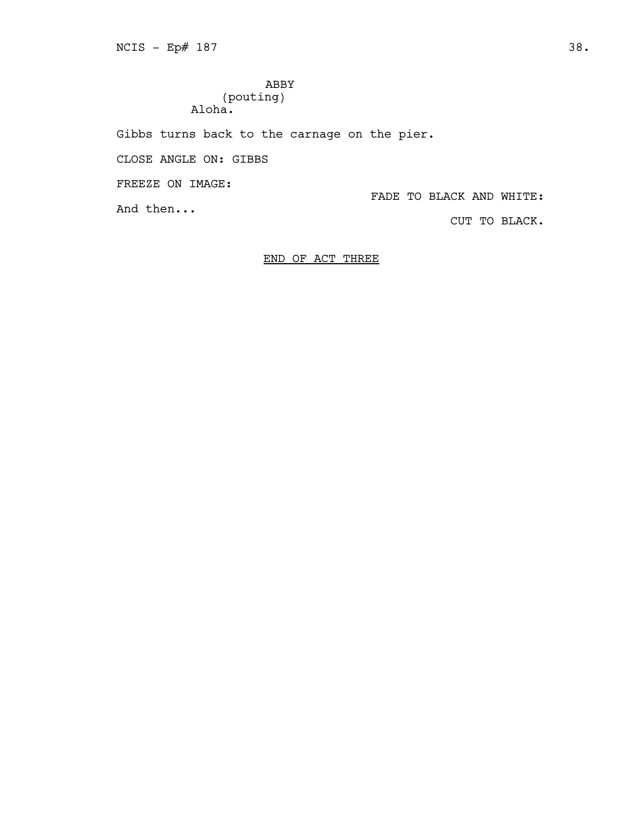ABBY (pouting) Aloha.

Gibbs turns back to the carnage on the pier.

CLOSE ANGLE ON: GIBBS

FREEZE ON IMAGE:

FADE TO BLACK AND WHITE:

And then...

CUT TO BLACK.

# END OF ACT THREE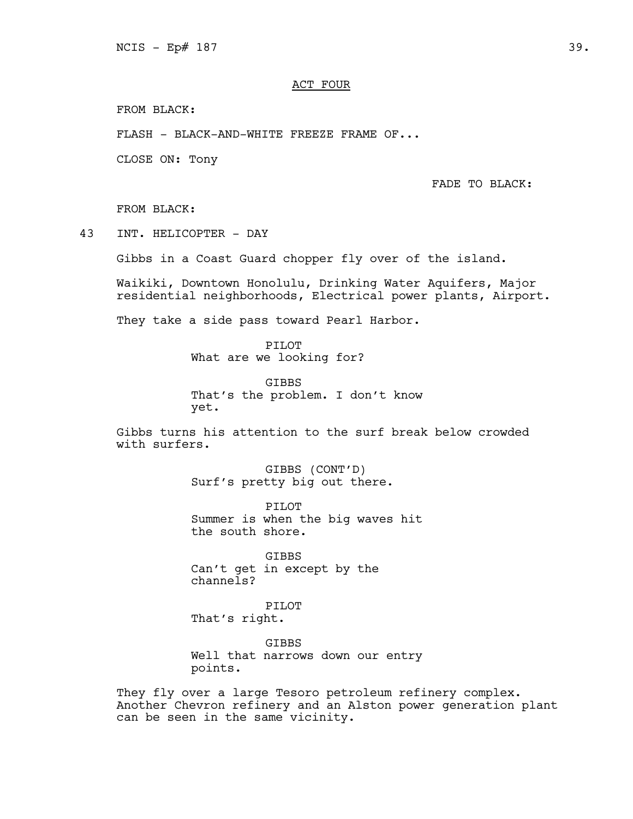# ACT FOUR

FROM BLACK:

FLASH - BLACK-AND-WHITE FREEZE FRAME OF...

CLOSE ON: Tony

FADE TO BLACK:

FROM BLACK:

43 INT. HELICOPTER - DAY

Gibbs in a Coast Guard chopper fly over of the island.

Waikiki, Downtown Honolulu, Drinking Water Aquifers, Major residential neighborhoods, Electrical power plants, Airport.

They take a side pass toward Pearl Harbor.

PILOT What are we looking for?

GIBBS That's the problem. I don't know yet.

Gibbs turns his attention to the surf break below crowded with surfers.

> GIBBS (CONT'D) Surf's pretty big out there.

PILOT Summer is when the big waves hit the south shore.

GIBBS Can't get in except by the channels?

PILOT That's right.

GIBBS Well that narrows down our entry points.

They fly over a large Tesoro petroleum refinery complex. Another Chevron refinery and an Alston power generation plant can be seen in the same vicinity.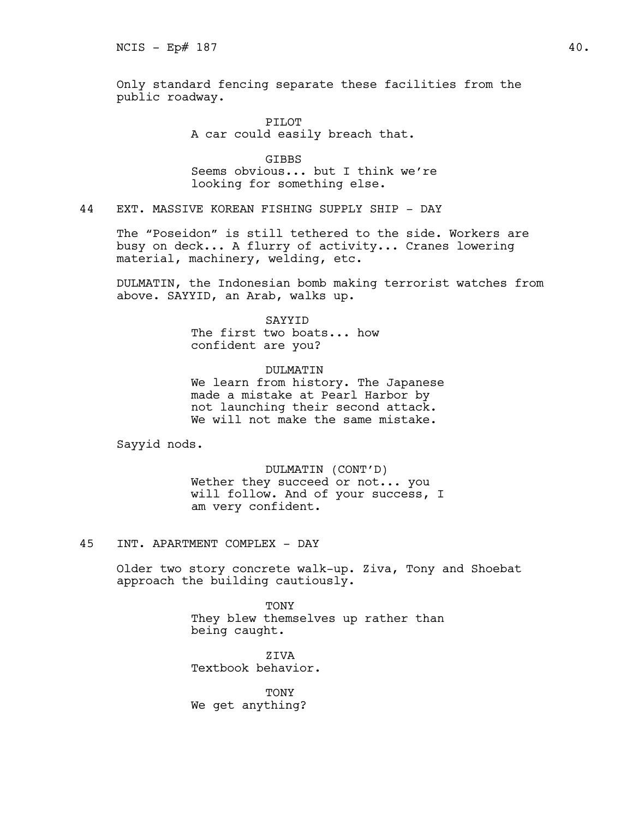Only standard fencing separate these facilities from the public roadway.

> PILOT A car could easily breach that.

**GTBBS** Seems obvious... but I think we're looking for something else.

44 EXT. MASSIVE KOREAN FISHING SUPPLY SHIP - DAY

The "Poseidon" is still tethered to the side. Workers are busy on deck... A flurry of activity... Cranes lowering material, machinery, welding, etc.

DULMATIN, the Indonesian bomb making terrorist watches from above. SAYYID, an Arab, walks up.

## SAYYID

The first two boats... how confident are you?

# DULMATIN

We learn from history. The Japanese made a mistake at Pearl Harbor by not launching their second attack. We will not make the same mistake.

Sayyid nods.

DULMATIN (CONT'D) Wether they succeed or not... you will follow. And of your success, I am very confident.

45 INT. APARTMENT COMPLEX - DAY

Older two story concrete walk-up. Ziva, Tony and Shoebat approach the building cautiously.

> TONY They blew themselves up rather than being caught.

ZIVA Textbook behavior.

TONY We get anything?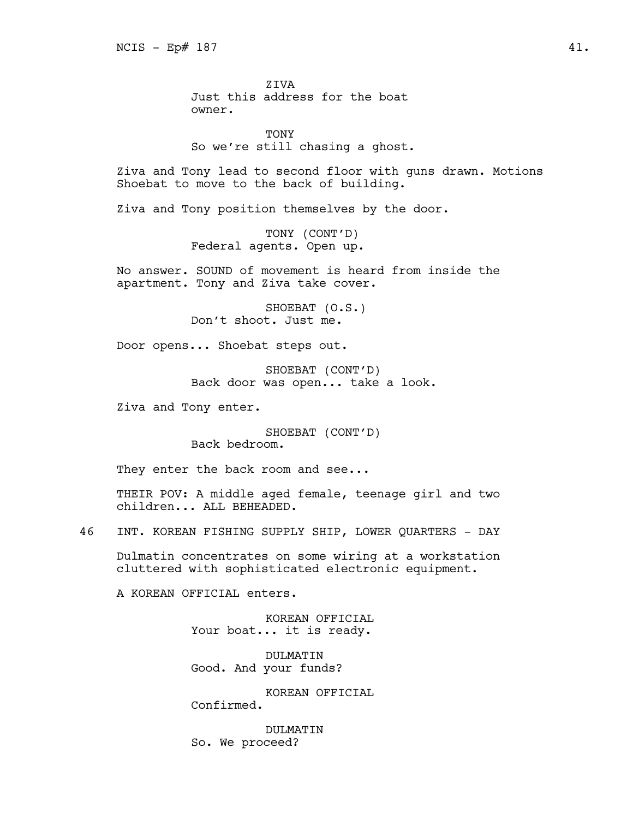ZIVA Just this address for the boat owner.

**TONY** So we're still chasing a ghost.

Ziva and Tony lead to second floor with guns drawn. Motions Shoebat to move to the back of building.

Ziva and Tony position themselves by the door.

TONY (CONT'D) Federal agents. Open up.

No answer. SOUND of movement is heard from inside the apartment. Tony and Ziva take cover.

> SHOEBAT (O.S.) Don't shoot. Just me.

Door opens... Shoebat steps out.

SHOEBAT (CONT'D) Back door was open... take a look.

Ziva and Tony enter.

SHOEBAT (CONT'D) Back bedroom.

They enter the back room and see...

THEIR POV: A middle aged female, teenage girl and two children... ALL BEHEADED.

46 INT. KOREAN FISHING SUPPLY SHIP, LOWER QUARTERS - DAY

Dulmatin concentrates on some wiring at a workstation cluttered with sophisticated electronic equipment.

A KOREAN OFFICIAL enters.

KOREAN OFFICIAL Your boat... it is ready.

DULMATIN Good. And your funds?

KOREAN OFFICIAL Confirmed.

DULMATIN So. We proceed?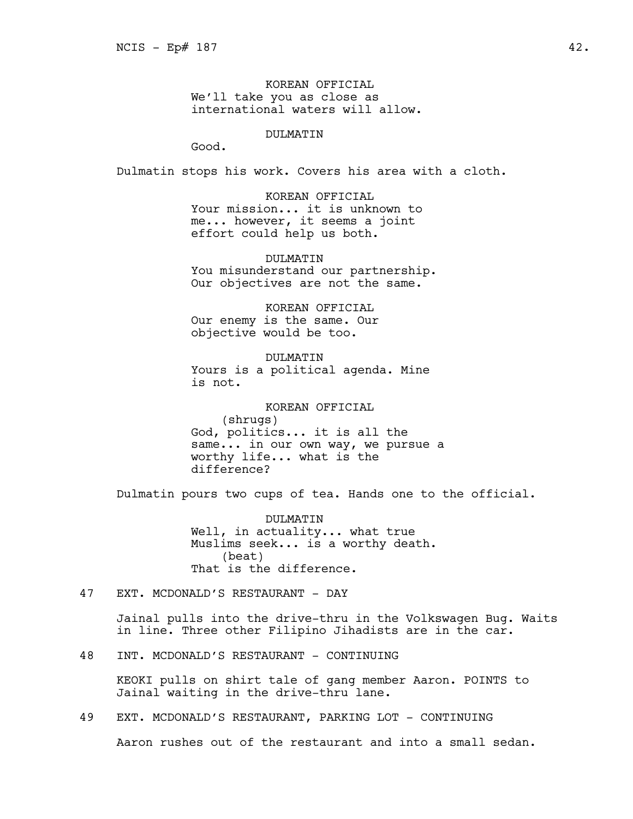KOREAN OFFICIAL We'll take you as close as international waters will allow.

# DULMATIN

Good.

Dulmatin stops his work. Covers his area with a cloth.

KOREAN OFFICIAL Your mission... it is unknown to me... however, it seems a joint effort could help us both.

DULMATIN You misunderstand our partnership. Our objectives are not the same.

KOREAN OFFICIAL Our enemy is the same. Our objective would be too.

DULMATIN Yours is a political agenda. Mine is not.

KOREAN OFFICIAL (shrugs) God, politics... it is all the same... in our own way, we pursue a worthy life... what is the difference?

Dulmatin pours two cups of tea. Hands one to the official.

DULMATIN Well, in actuality... what true Muslims seek... is a worthy death. (beat) That is the difference.

47 EXT. MCDONALD'S RESTAURANT - DAY

Jainal pulls into the drive-thru in the Volkswagen Bug. Waits in line. Three other Filipino Jihadists are in the car.

48 INT. MCDONALD'S RESTAURANT - CONTINUING

KEOKI pulls on shirt tale of gang member Aaron. POINTS to Jainal waiting in the drive-thru lane.

49 EXT. MCDONALD'S RESTAURANT, PARKING LOT - CONTINUING

Aaron rushes out of the restaurant and into a small sedan.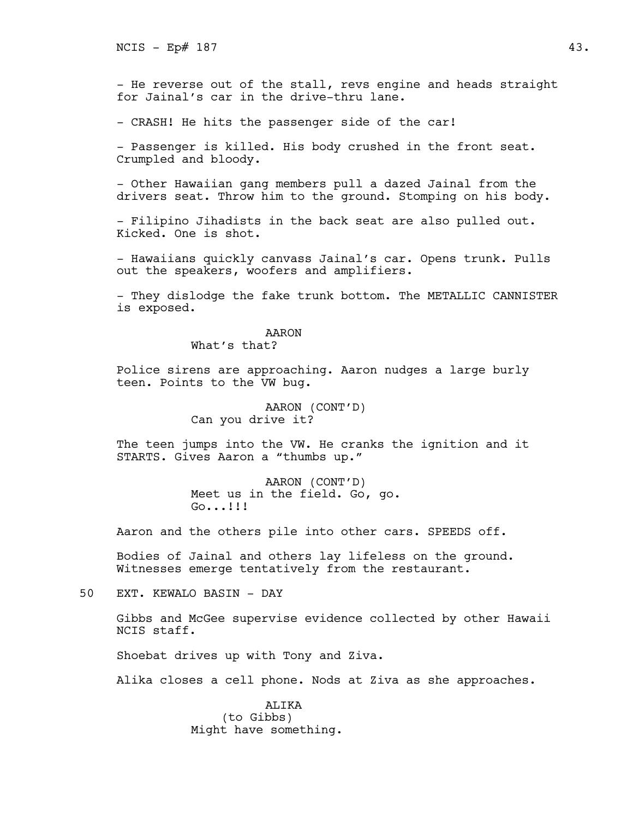- He reverse out of the stall, revs engine and heads straight for Jainal's car in the drive-thru lane.

- CRASH! He hits the passenger side of the car!

- Passenger is killed. His body crushed in the front seat. Crumpled and bloody.

- Other Hawaiian gang members pull a dazed Jainal from the drivers seat. Throw him to the ground. Stomping on his body.

- Filipino Jihadists in the back seat are also pulled out. Kicked. One is shot.

- Hawaiians quickly canvass Jainal's car. Opens trunk. Pulls out the speakers, woofers and amplifiers.

- They dislodge the fake trunk bottom. The METALLIC CANNISTER is exposed.

# AARON

What's that?

Police sirens are approaching. Aaron nudges a large burly teen. Points to the VW bug.

> AARON (CONT'D) Can you drive it?

The teen jumps into the VW. He cranks the ignition and it STARTS. Gives Aaron a "thumbs up."

> AARON (CONT'D) Meet us in the field. Go, go. Go...!!!

Aaron and the others pile into other cars. SPEEDS off.

Bodies of Jainal and others lay lifeless on the ground. Witnesses emerge tentatively from the restaurant.

50 EXT. KEWALO BASIN - DAY

Gibbs and McGee supervise evidence collected by other Hawaii NCIS staff.

Shoebat drives up with Tony and Ziva.

Alika closes a cell phone. Nods at Ziva as she approaches.

ALIKA (to Gibbs) Might have something.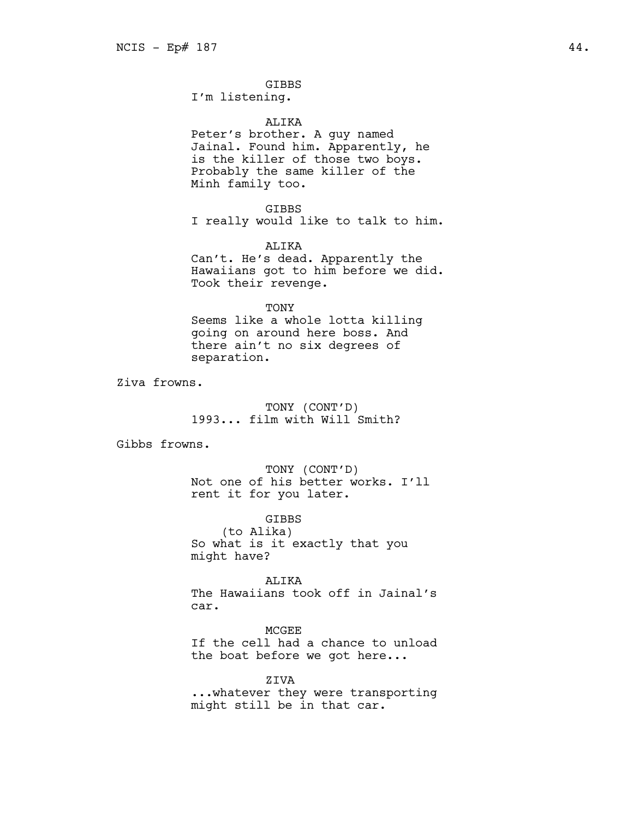# GIBBS

I'm listening.

#### ALIKA

Peter's brother. A guy named Jainal. Found him. Apparently, he is the killer of those two boys. Probably the same killer of the Minh family too.

GIBBS I really would like to talk to him.

ALIKA Can't. He's dead. Apparently the Hawaiians got to him before we did. Took their revenge.

#### TONY

Seems like a whole lotta killing going on around here boss. And there ain't no six degrees of separation.

Ziva frowns.

# TONY (CONT'D) 1993... film with Will Smith?

Gibbs frowns.

TONY (CONT'D) Not one of his better works. I'll rent it for you later.

GIBBS (to Alika) So what is it exactly that you might have?

ALIKA The Hawaiians took off in Jainal's car.

## MCGEE

If the cell had a chance to unload the boat before we got here...

ZIVA

...whatever they were transporting might still be in that car.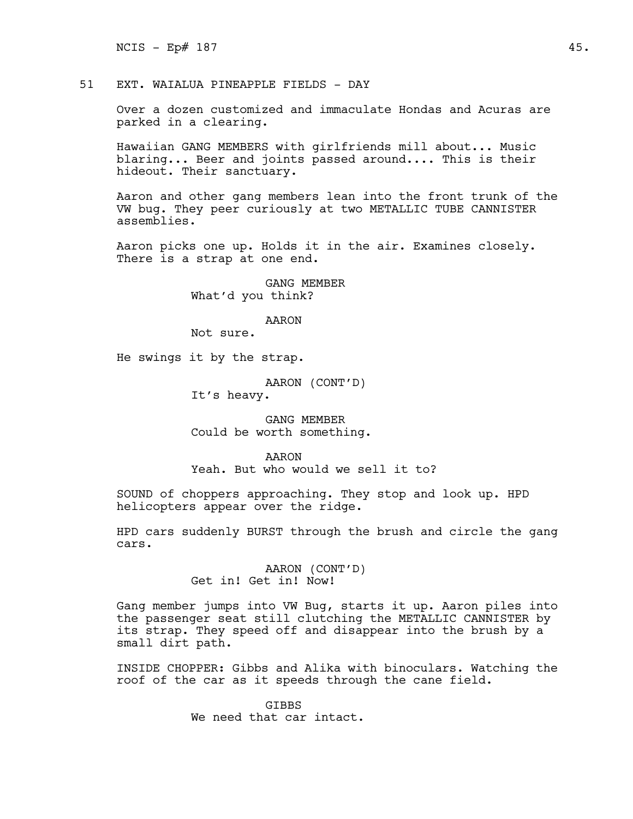$NCIS - Ep# 187$  45.

51 EXT. WAIALUA PINEAPPLE FIELDS - DAY

Over a dozen customized and immaculate Hondas and Acuras are parked in a clearing.

Hawaiian GANG MEMBERS with girlfriends mill about... Music blaring... Beer and joints passed around.... This is their hideout. Their sanctuary.

Aaron and other gang members lean into the front trunk of the VW bug. They peer curiously at two METALLIC TUBE CANNISTER assemblies.

Aaron picks one up. Holds it in the air. Examines closely. There is a strap at one end.

> GANG MEMBER What'd you think?

> > AARON

Not sure.

He swings it by the strap.

AARON (CONT'D) It's heavy.

GANG MEMBER Could be worth something.

AARON Yeah. But who would we sell it to?

SOUND of choppers approaching. They stop and look up. HPD helicopters appear over the ridge.

HPD cars suddenly BURST through the brush and circle the gang cars.

> AARON (CONT'D) Get in! Get in! Now!

Gang member jumps into VW Bug, starts it up. Aaron piles into the passenger seat still clutching the METALLIC CANNISTER by its strap. They speed off and disappear into the brush by a small dirt path.

INSIDE CHOPPER: Gibbs and Alika with binoculars. Watching the roof of the car as it speeds through the cane field.

> **GTBBS** We need that car intact.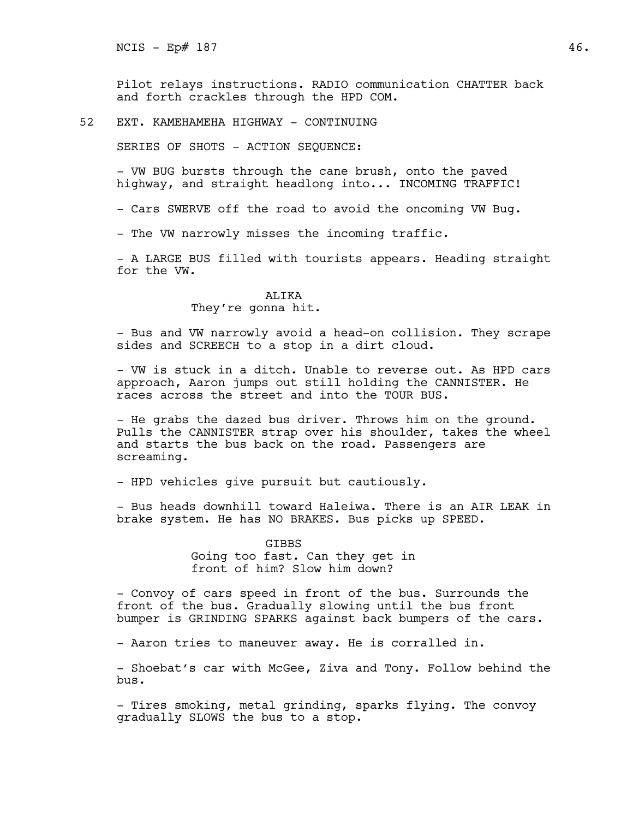Pilot relays instructions. RADIO communication CHATTER back and forth crackles through the HPD COM.

52 EXT. KAMEHAMEHA HIGHWAY - CONTINUING

SERIES OF SHOTS - ACTION SEQUENCE:

- VW BUG bursts through the cane brush, onto the paved highway, and straight headlong into... INCOMING TRAFFIC!

- Cars SWERVE off the road to avoid the oncoming VW Bug.

- The VW narrowly misses the incoming traffic.

- A LARGE BUS filled with tourists appears. Heading straight for the VW.

# ALIKA

They're gonna hit.

- Bus and VW narrowly avoid a head-on collision. They scrape sides and SCREECH to a stop in a dirt cloud.

- VW is stuck in a ditch. Unable to reverse out. As HPD cars approach, Aaron jumps out still holding the CANNISTER. He races across the street and into the TOUR BUS.

- He grabs the dazed bus driver. Throws him on the ground. Pulls the CANNISTER strap over his shoulder, takes the wheel and starts the bus back on the road. Passengers are screaming.

- HPD vehicles give pursuit but cautiously.

- Bus heads downhill toward Haleiwa. There is an AIR LEAK in brake system. He has NO BRAKES. Bus picks up SPEED.

> GIBBS Going too fast. Can they get in front of him? Slow him down?

- Convoy of cars speed in front of the bus. Surrounds the front of the bus. Gradually slowing until the bus front bumper is GRINDING SPARKS against back bumpers of the cars.

- Aaron tries to maneuver away. He is corralled in.

- Shoebat's car with McGee, Ziva and Tony. Follow behind the bus.

- Tires smoking, metal grinding, sparks flying. The convoy gradually SLOWS the bus to a stop.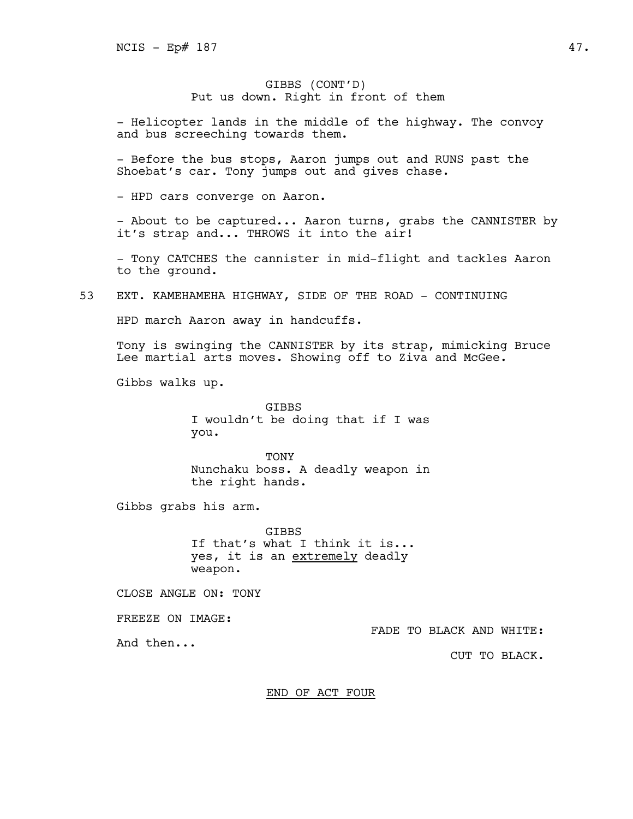# GIBBS (CONT'D) Put us down. Right in front of them

- Helicopter lands in the middle of the highway. The convoy and bus screeching towards them.

- Before the bus stops, Aaron jumps out and RUNS past the Shoebat's car. Tony jumps out and gives chase.

- HPD cars converge on Aaron.

- About to be captured... Aaron turns, grabs the CANNISTER by it's strap and... THROWS it into the air!

- Tony CATCHES the cannister in mid-flight and tackles Aaron to the ground.

53 EXT. KAMEHAMEHA HIGHWAY, SIDE OF THE ROAD - CONTINUING

HPD march Aaron away in handcuffs.

Tony is swinging the CANNISTER by its strap, mimicking Bruce Lee martial arts moves. Showing off to Ziva and McGee.

Gibbs walks up.

**GTBBS** I wouldn't be doing that if I was you.

TONY Nunchaku boss. A deadly weapon in the right hands.

Gibbs grabs his arm.

GIBBS If that's what I think it is... yes, it is an extremely deadly weapon.

CLOSE ANGLE ON: TONY

FREEZE ON IMAGE:

And then...

FADE TO BLACK AND WHITE:

CUT TO BLACK.

END OF ACT FOUR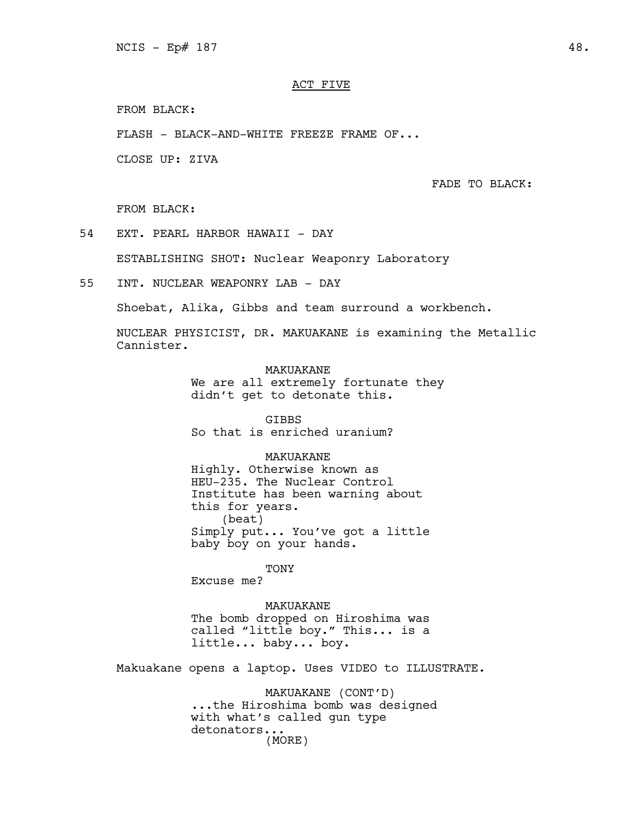# ACT FIVE

FROM BLACK:

FLASH - BLACK-AND-WHITE FREEZE FRAME OF...

CLOSE UP: ZIVA

FADE TO BLACK:

FROM BLACK:

54 EXT. PEARL HARBOR HAWAII - DAY

ESTABLISHING SHOT: Nuclear Weaponry Laboratory

55 INT. NUCLEAR WEAPONRY LAB - DAY

Shoebat, Alika, Gibbs and team surround a workbench.

NUCLEAR PHYSICIST, DR. MAKUAKANE is examining the Metallic Cannister.

> MAKUAKANE We are all extremely fortunate they didn't get to detonate this.

GIBBS So that is enriched uranium?

## MAKUAKANE

Highly. Otherwise known as HEU-235. The Nuclear Control Institute has been warning about this for years. (beat) Simply put... You've got a little baby boy on your hands.

TONY

Excuse me?

MAKUAKANE The bomb dropped on Hiroshima was called "little boy." This... is a little... baby... boy.

Makuakane opens a laptop. Uses VIDEO to ILLUSTRATE.

MAKUAKANE (CONT'D) ...the Hiroshima bomb was designed with what's called gun type detonators... (MORE)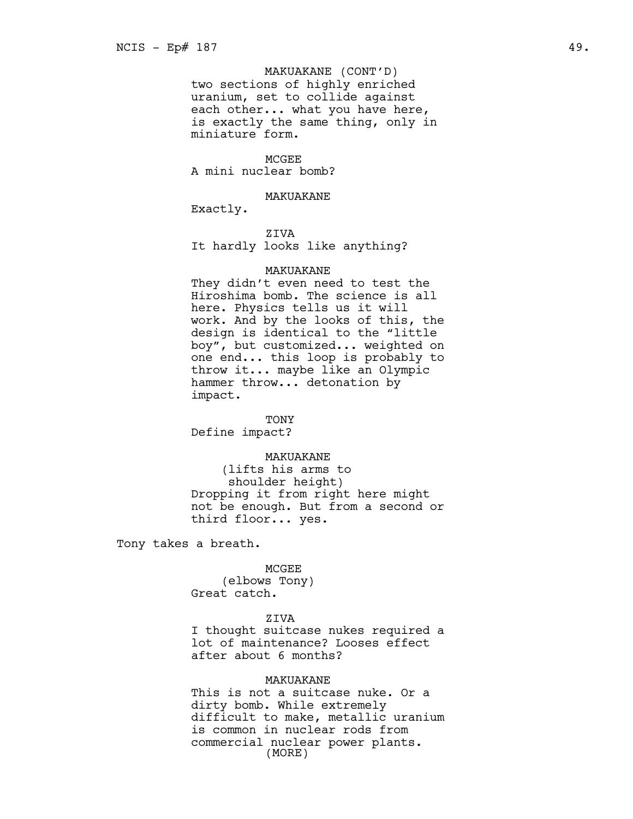# MAKUAKANE (CONT'D)

two sections of highly enriched uranium, set to collide against each other... what you have here, is exactly the same thing, only in miniature form.

**MCGEE** A mini nuclear bomb?

#### MAKUAKANE

Exactly.

ZIVA

It hardly looks like anything?

## MAKUAKANE

They didn't even need to test the Hiroshima bomb. The science is all here. Physics tells us it will work. And by the looks of this, the design is identical to the "little boy", but customized... weighted on one end... this loop is probably to throw it... maybe like an Olympic hammer throw... detonation by impact.

TONY Define impact?

# MAKUAKANE

(lifts his arms to shoulder height) Dropping it from right here might not be enough. But from a second or third floor... yes.

Tony takes a breath.

MCGEE (elbows Tony) Great catch.

# ZIVA

I thought suitcase nukes required a lot of maintenance? Looses effect after about 6 months?

# MAKUAKANE

This is not a suitcase nuke. Or a dirty bomb. While extremely difficult to make, metallic uranium is common in nuclear rods from commercial nuclear power plants. (MORE)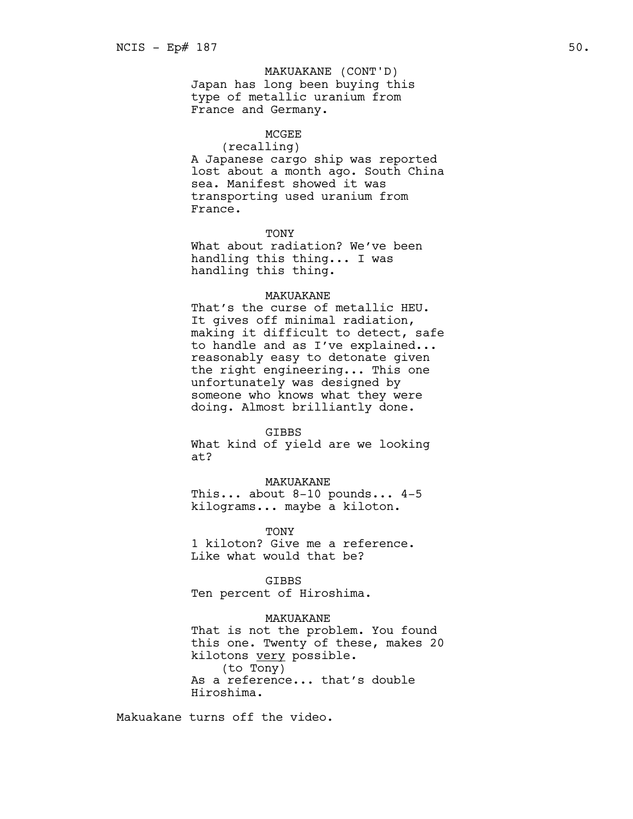Japan has long been buying this type of metallic uranium from France and Germany. MAKUAKANE (CONT'D)

## MCGEE

(recalling) A Japanese cargo ship was reported lost about a month ago. South China sea. Manifest showed it was transporting used uranium from France.

#### **TONY**

What about radiation? We've been handling this thing... I was handling this thing.

## MAKUAKANE

That's the curse of metallic HEU. It gives off minimal radiation, making it difficult to detect, safe to handle and as I've explained... reasonably easy to detonate given the right engineering... This one unfortunately was designed by someone who knows what they were doing. Almost brilliantly done.

#### GIBBS

What kind of yield are we looking at?

#### MAKUAKANE

This... about 8-10 pounds... 4-5 kilograms... maybe a kiloton.

TONY 1 kiloton? Give me a reference. Like what would that be?

GIBBS Ten percent of Hiroshima.

# MAKUAKANE

That is not the problem. You found this one. Twenty of these, makes 20 kilotons very possible. (to Tony) As a reference... that's double Hiroshima.

Makuakane turns off the video.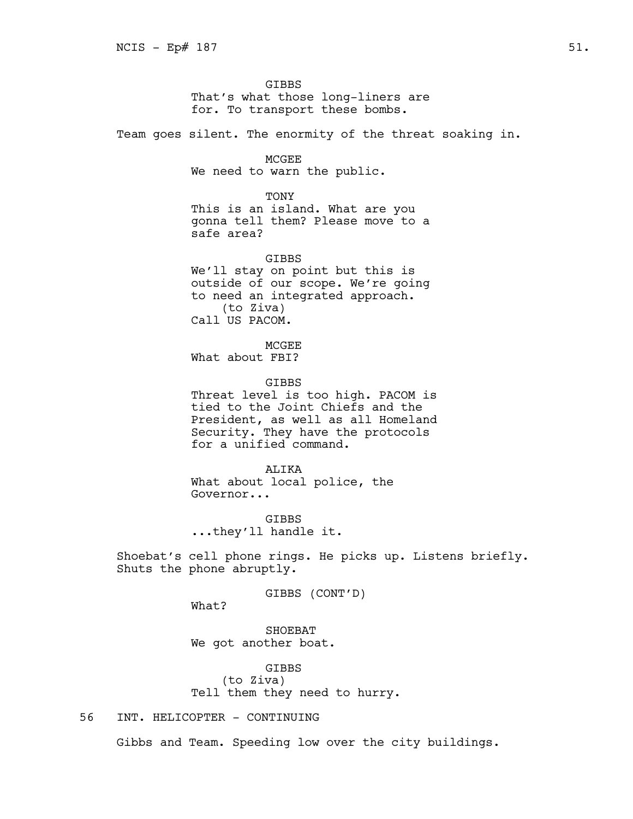GIBBS That's what those long-liners are for. To transport these bombs.

Team goes silent. The enormity of the threat soaking in.

**MCGEE** We need to warn the public.

TONY This is an island. What are you gonna tell them? Please move to a safe area?

GIBBS We'll stay on point but this is outside of our scope. We're going to need an integrated approach. (to Ziva) Call US PACOM.

**MCGEE** What about FBI?

GIBBS Threat level is too high. PACOM is tied to the Joint Chiefs and the President, as well as all Homeland Security. They have the protocols for a unified command.

ALIKA What about local police, the Governor...

GIBBS ...they'll handle it.

Shoebat's cell phone rings. He picks up. Listens briefly. Shuts the phone abruptly.

GIBBS (CONT'D)

What?

SHOEBAT We got another boat.

GIBBS (to Ziva) Tell them they need to hurry.

# 56 INT. HELICOPTER - CONTINUING

Gibbs and Team. Speeding low over the city buildings.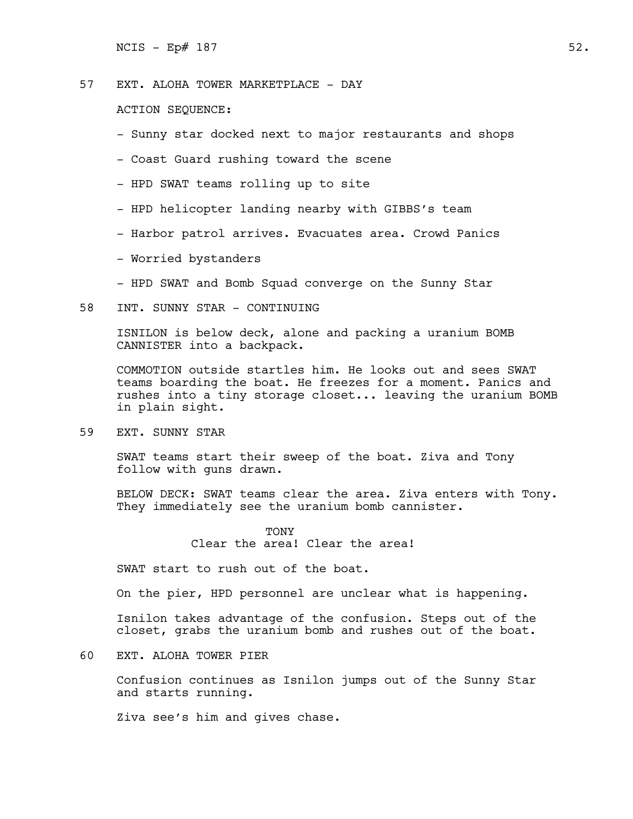$NCIS - Ep# 187$  52.

57 EXT. ALOHA TOWER MARKETPLACE - DAY

ACTION SEQUENCE:

- Sunny star docked next to major restaurants and shops
- Coast Guard rushing toward the scene
- HPD SWAT teams rolling up to site
- HPD helicopter landing nearby with GIBBS's team
- Harbor patrol arrives. Evacuates area. Crowd Panics
- Worried bystanders
- HPD SWAT and Bomb Squad converge on the Sunny Star
- 58 INT. SUNNY STAR CONTINUING

ISNILON is below deck, alone and packing a uranium BOMB CANNISTER into a backpack.

COMMOTION outside startles him. He looks out and sees SWAT teams boarding the boat. He freezes for a moment. Panics and rushes into a tiny storage closet... leaving the uranium BOMB in plain sight.

59 EXT. SUNNY STAR

SWAT teams start their sweep of the boat. Ziva and Tony follow with guns drawn.

BELOW DECK: SWAT teams clear the area. Ziva enters with Tony. They immediately see the uranium bomb cannister.

> TONY Clear the area! Clear the area!

SWAT start to rush out of the boat.

On the pier, HPD personnel are unclear what is happening.

Isnilon takes advantage of the confusion. Steps out of the closet, grabs the uranium bomb and rushes out of the boat.

60 EXT. ALOHA TOWER PIER

Confusion continues as Isnilon jumps out of the Sunny Star and starts running.

Ziva see's him and gives chase.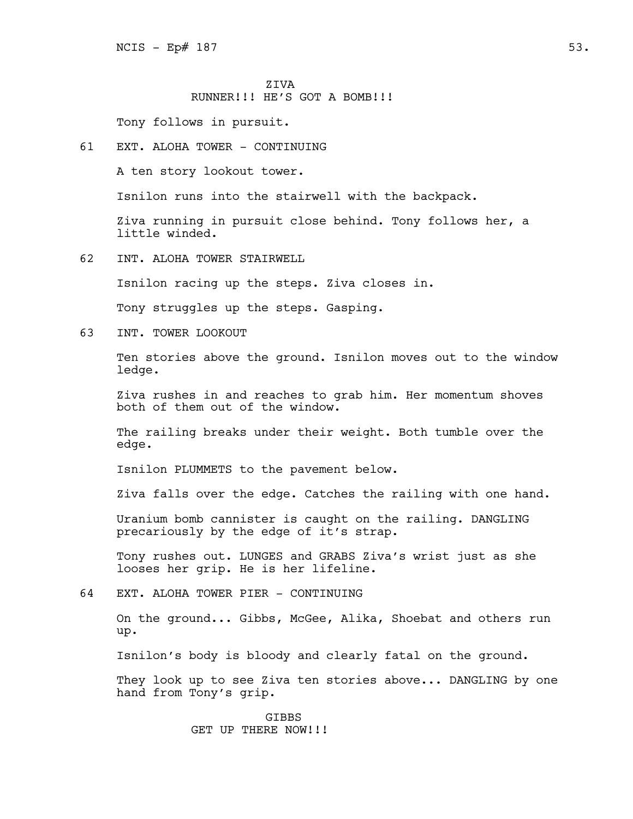ZIVA RUNNER!!! HE'S GOT A BOMB!!!

Tony follows in pursuit.

# 61 EXT. ALOHA TOWER - CONTINUING

A ten story lookout tower.

Isnilon runs into the stairwell with the backpack.

Ziva running in pursuit close behind. Tony follows her, a little winded.

62 INT. ALOHA TOWER STAIRWELL

Isnilon racing up the steps. Ziva closes in.

Tony struggles up the steps. Gasping.

63 INT. TOWER LOOKOUT

Ten stories above the ground. Isnilon moves out to the window ledge.

Ziva rushes in and reaches to grab him. Her momentum shoves both of them out of the window.

The railing breaks under their weight. Both tumble over the edge.

Isnilon PLUMMETS to the pavement below.

Ziva falls over the edge. Catches the railing with one hand.

Uranium bomb cannister is caught on the railing. DANGLING precariously by the edge of it's strap.

Tony rushes out. LUNGES and GRABS Ziva's wrist just as she looses her grip. He is her lifeline.

64 EXT. ALOHA TOWER PIER - CONTINUING

On the ground... Gibbs, McGee, Alika, Shoebat and others run up.

Isnilon's body is bloody and clearly fatal on the ground.

They look up to see Ziva ten stories above... DANGLING by one hand from Tony's grip.

> GIBBS GET UP THERE NOW!!!